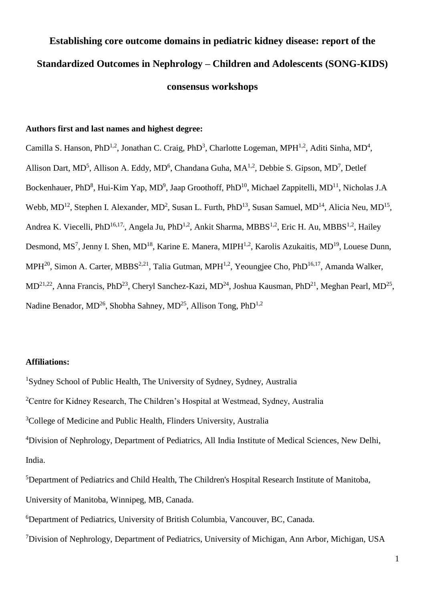# **Establishing core outcome domains in pediatric kidney disease: report of the Standardized Outcomes in Nephrology – Children and Adolescents (SONG-KIDS) consensus workshops**

#### **Authors first and last names and highest degree:**

Camilla S. Hanson, PhD<sup>1,2</sup>, Jonathan C. Craig, PhD<sup>3</sup>, Charlotte Logeman, MPH<sup>1,2</sup>, Aditi Sinha, MD<sup>4</sup>, Allison Dart, MD<sup>5</sup>, Allison A. Eddy, MD<sup>6</sup>, Chandana Guha, MA<sup>1,2</sup>, Debbie S. Gipson, MD<sup>7</sup>, Detlef Bockenhauer, PhD<sup>8</sup>, Hui-Kim Yap, MD<sup>9</sup>, Jaap Groothoff, PhD<sup>10</sup>, Michael Zappitelli, MD<sup>11</sup>, Nicholas J.A Webb,  $MD<sup>12</sup>$ , Stephen I. Alexander,  $MD<sup>2</sup>$ , Susan L. Furth, PhD<sup>13</sup>, Susan Samuel,  $MD<sup>14</sup>$ , Alicia Neu,  $MD<sup>15</sup>$ , Andrea K. Viecelli, PhD<sup>16,17</sup>, Angela Ju, PhD<sup>1,2</sup>, Ankit Sharma, MBBS<sup>1,2</sup>, Eric H. Au, MBBS<sup>1,2</sup>, Hailey Desmond, MS<sup>7</sup>, Jenny I. Shen, MD<sup>18</sup>, Karine E. Manera, MIPH<sup>1,2</sup>, Karolis Azukaitis, MD<sup>19</sup>, Louese Dunn, MPH<sup>20</sup>, Simon A. Carter, MBBS<sup>2,21</sup>, Talia Gutman, MPH<sup>1,2</sup>, Yeoungjee Cho, PhD<sup>16,17</sup>, Amanda Walker,  $MD^{21,22}$ , Anna Francis, PhD<sup>23</sup>, Cheryl Sanchez-Kazi, MD<sup>24</sup>, Joshua Kausman, PhD<sup>21</sup>, Meghan Pearl, MD<sup>25</sup>, Nadine Benador, MD<sup>26</sup>, Shobha Sahney, MD<sup>25</sup>, Allison Tong, PhD<sup>1,2</sup>

#### **Affiliations:**

<sup>1</sup>Sydney School of Public Health, The University of Sydney, Sydney, Australia

<sup>2</sup>Centre for Kidney Research, The Children's Hospital at Westmead, Sydney, Australia

<sup>3</sup>College of Medicine and Public Health, Flinders University, Australia

<sup>4</sup>Division of Nephrology, Department of Pediatrics, All India Institute of Medical Sciences, New Delhi, India.

<sup>5</sup>Department of Pediatrics and Child Health, The Children's Hospital Research Institute of Manitoba, University of Manitoba, Winnipeg, MB, Canada.

<sup>6</sup>Department of Pediatrics, University of British Columbia, Vancouver, BC, Canada.

<sup>7</sup>Division of Nephrology, Department of Pediatrics, University of Michigan, Ann Arbor, Michigan, USA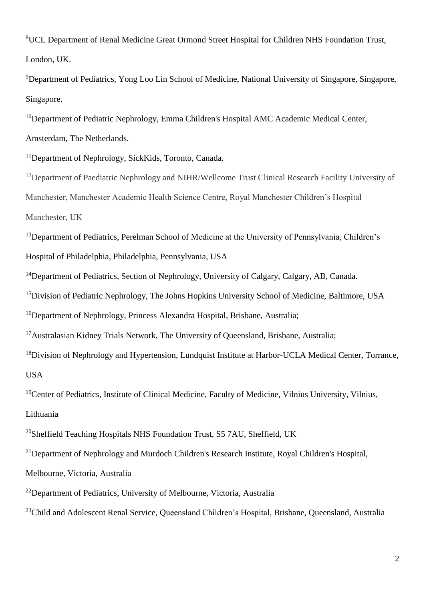<sup>8</sup>UCL Department of Renal Medicine Great Ormond Street Hospital for Children NHS Foundation Trust, London, UK.

<sup>9</sup>Department of Pediatrics, Yong Loo Lin School of Medicine, National University of Singapore, Singapore, Singapore.

<sup>10</sup>Department of Pediatric Nephrology, Emma Children's Hospital AMC Academic Medical Center, Amsterdam, The Netherlands.

<sup>11</sup>Department of Nephrology, SickKids, Toronto, Canada.

<sup>12</sup>Department of Paediatric Nephrology and NIHR/Wellcome Trust Clinical Research Facility University of Manchester, Manchester Academic Health Science Centre, Royal Manchester Children's Hospital Manchester, UK

<sup>13</sup>Department of Pediatrics, Perelman School of Medicine at the University of Pennsylvania, Children's Hospital of Philadelphia, Philadelphia, Pennsylvania, USA

<sup>14</sup>Department of Pediatrics, Section of Nephrology, University of Calgary, Calgary, AB, Canada.

<sup>15</sup>Division of Pediatric Nephrology, The Johns Hopkins University School of Medicine, Baltimore, USA

<sup>16</sup>Department of Nephrology, Princess Alexandra Hospital, Brisbane, Australia;

<sup>17</sup>Australasian Kidney Trials Network, The University of Queensland, Brisbane, Australia;

<sup>18</sup>Division of Nephrology and Hypertension, Lundquist Institute at Harbor-UCLA Medical Center, Torrance, USA

<sup>19</sup>Center of Pediatrics, Institute of Clinical Medicine, Faculty of Medicine, Vilnius University, Vilnius, Lithuania

<sup>20</sup>Sheffield Teaching Hospitals NHS Foundation Trust, S5 7AU, Sheffield, UK

<sup>21</sup>Department of Nephrology and Murdoch Children's Research Institute, Royal Children's Hospital,

Melbourne, Victoria, Australia

<sup>22</sup>Department of Pediatrics, University of Melbourne, Victoria, Australia

<sup>23</sup>Child and Adolescent Renal Service, Queensland Children's Hospital, Brisbane, Queensland, Australia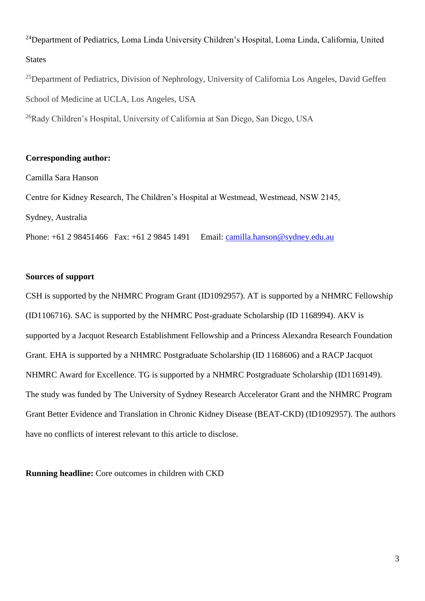<sup>24</sup>Department of Pediatrics, Loma Linda University Children's Hospital, Loma Linda, California, United **States** 

<sup>25</sup>Department of Pediatrics, Division of Nephrology, University of California Los Angeles, David Geffen School of Medicine at UCLA, Los Angeles, USA

<sup>26</sup>Rady Children's Hospital, University of California at San Diego, San Diego, USA

#### **Corresponding author:**

Camilla Sara Hanson

Centre for Kidney Research, The Children's Hospital at Westmead, Westmead, NSW 2145, Sydney, Australia

Phone: +61 2 98451466 Fax: +61 2 9845 1491 Email: [camilla.hanson@sydney.edu.au](mailto:camilla.hanson@sydney.edu.au)

#### **Sources of support**

CSH is supported by the NHMRC Program Grant (ID1092957). AT is supported by a NHMRC Fellowship (ID1106716). SAC is supported by the NHMRC Post-graduate Scholarship (ID 1168994). AKV is supported by a Jacquot Research Establishment Fellowship and a Princess Alexandra Research Foundation Grant. EHA is supported by a NHMRC Postgraduate Scholarship (ID 1168606) and a RACP Jacquot NHMRC Award for Excellence. TG is supported by a NHMRC Postgraduate Scholarship (ID1169149). The study was funded by The University of Sydney Research Accelerator Grant and the NHMRC Program Grant Better Evidence and Translation in Chronic Kidney Disease (BEAT-CKD) (ID1092957). The authors have no conflicts of interest relevant to this article to disclose.

**Running headline:** Core outcomes in children with CKD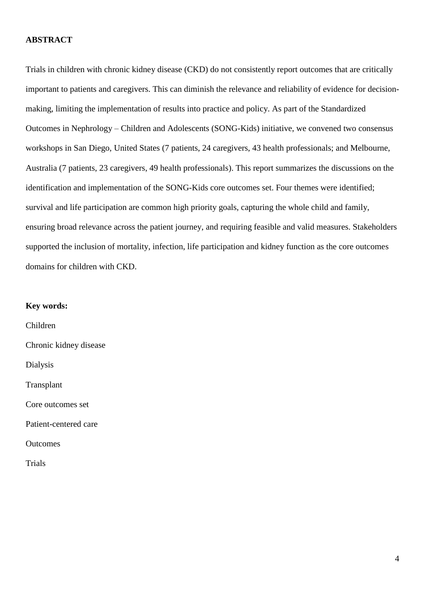#### **ABSTRACT**

Trials in children with chronic kidney disease (CKD) do not consistently report outcomes that are critically important to patients and caregivers. This can diminish the relevance and reliability of evidence for decisionmaking, limiting the implementation of results into practice and policy. As part of the Standardized Outcomes in Nephrology – Children and Adolescents (SONG-Kids) initiative, we convened two consensus workshops in San Diego, United States (7 patients, 24 caregivers, 43 health professionals; and Melbourne, Australia (7 patients, 23 caregivers, 49 health professionals). This report summarizes the discussions on the identification and implementation of the SONG-Kids core outcomes set. Four themes were identified; survival and life participation are common high priority goals, capturing the whole child and family, ensuring broad relevance across the patient journey, and requiring feasible and valid measures. Stakeholders supported the inclusion of mortality, infection, life participation and kidney function as the core outcomes domains for children with CKD.

#### **Key words:**

Children Chronic kidney disease Dialysis Transplant Core outcomes set Patient-centered care **Outcomes** 

Trials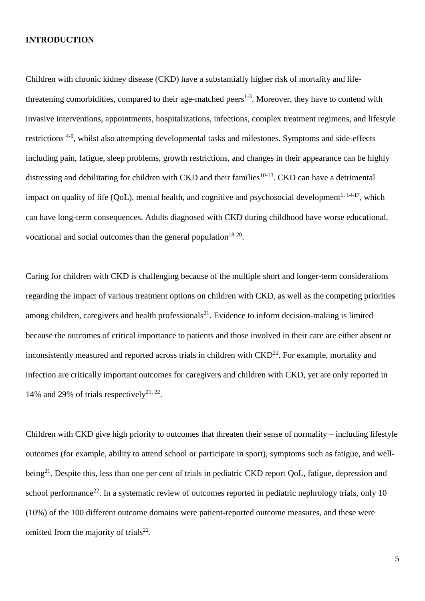#### **INTRODUCTION**

Children with chronic kidney disease (CKD) have a substantially higher risk of mortality and lifethreatening comorbidities, compared to their age-matched peers $1-3$ . Moreover, they have to contend with invasive interventions, appointments, hospitalizations, infections, complex treatment regimens, and lifestyle restrictions<sup>4-9</sup>, whilst also attempting developmental tasks and milestones. Symptoms and side-effects including pain, fatigue, sleep problems, growth restrictions, and changes in their appearance can be highly distressing and debilitating for children with CKD and their families<sup>10-13</sup>. CKD can have a detrimental impact on quality of life (QoL), mental health, and cognitive and psychosocial development<sup>1, 14-17</sup>, which can have long-term consequences. Adults diagnosed with CKD during childhood have worse educational, vocational and social outcomes than the general population $18-20$ .

Caring for children with CKD is challenging because of the multiple short and longer-term considerations regarding the impact of various treatment options on children with CKD, as well as the competing priorities among children, caregivers and health professionals<sup>21</sup>. Evidence to inform decision-making is limited because the outcomes of critical importance to patients and those involved in their care are either absent or inconsistently measured and reported across trials in children with  $\text{CKD}^{22}$ . For example, mortality and infection are critically important outcomes for caregivers and children with CKD, yet are only reported in 14% and 29% of trials respectively<sup>21, 22</sup>.

Children with CKD give high priority to outcomes that threaten their sense of normality – including lifestyle outcomes (for example, ability to attend school or participate in sport), symptoms such as fatigue, and wellbeing<sup>21</sup>. Despite this, less than one per cent of trials in pediatric CKD report QoL, fatigue, depression and school performance<sup>22</sup>. In a systematic review of outcomes reported in pediatric nephrology trials, only 10 (10%) of the 100 different outcome domains were patient-reported outcome measures, and these were omitted from the majority of trials<sup>22</sup>.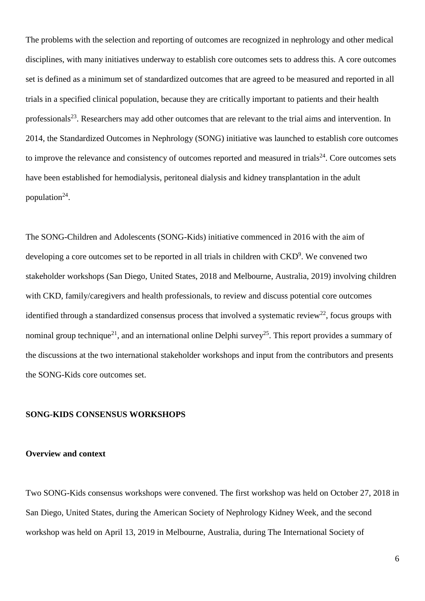The problems with the selection and reporting of outcomes are recognized in nephrology and other medical disciplines, with many initiatives underway to establish core outcomes sets to address this. A core outcomes set is defined as a minimum set of standardized outcomes that are agreed to be measured and reported in all trials in a specified clinical population, because they are critically important to patients and their health professionals<sup>23</sup>. Researchers may add other outcomes that are relevant to the trial aims and intervention. In 2014, the Standardized Outcomes in Nephrology (SONG) initiative was launched to establish core outcomes to improve the relevance and consistency of outcomes reported and measured in trials $^{24}$ . Core outcomes sets have been established for hemodialysis, peritoneal dialysis and kidney transplantation in the adult population $^{24}$ .

The SONG-Children and Adolescents (SONG-Kids) initiative commenced in 2016 with the aim of developing a core outcomes set to be reported in all trials in children with CKD<sup>9</sup>. We convened two stakeholder workshops (San Diego, United States, 2018 and Melbourne, Australia, 2019) involving children with CKD, family/caregivers and health professionals, to review and discuss potential core outcomes identified through a standardized consensus process that involved a systematic review<sup>22</sup>, focus groups with nominal group technique<sup>21</sup>, and an international online Delphi survey<sup>25</sup>. This report provides a summary of the discussions at the two international stakeholder workshops and input from the contributors and presents the SONG-Kids core outcomes set.

#### **SONG-KIDS CONSENSUS WORKSHOPS**

#### **Overview and context**

Two SONG-Kids consensus workshops were convened. The first workshop was held on October 27, 2018 in San Diego, United States, during the American Society of Nephrology Kidney Week, and the second workshop was held on April 13, 2019 in Melbourne, Australia, during The International Society of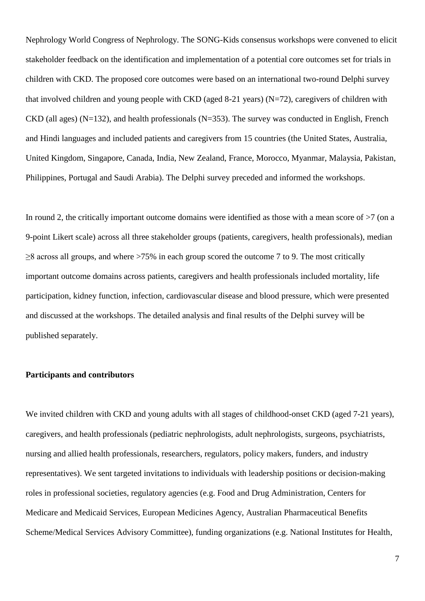Nephrology World Congress of Nephrology. The SONG-Kids consensus workshops were convened to elicit stakeholder feedback on the identification and implementation of a potential core outcomes set for trials in children with CKD. The proposed core outcomes were based on an international two-round Delphi survey that involved children and young people with CKD (aged 8-21 years) (N=72), caregivers of children with CKD (all ages) (N=132), and health professionals (N=353). The survey was conducted in English, French and Hindi languages and included patients and caregivers from 15 countries (the United States, Australia, United Kingdom, Singapore, Canada, India, New Zealand, France, Morocco, Myanmar, Malaysia, Pakistan, Philippines, Portugal and Saudi Arabia). The Delphi survey preceded and informed the workshops.

In round 2, the critically important outcome domains were identified as those with a mean score of  $>7$  (on a 9-point Likert scale) across all three stakeholder groups (patients, caregivers, health professionals), median  $\geq$ 8 across all groups, and where  $>75\%$  in each group scored the outcome 7 to 9. The most critically important outcome domains across patients, caregivers and health professionals included mortality, life participation, kidney function, infection, cardiovascular disease and blood pressure, which were presented and discussed at the workshops. The detailed analysis and final results of the Delphi survey will be published separately.

#### **Participants and contributors**

We invited children with CKD and young adults with all stages of childhood-onset CKD (aged 7-21 years), caregivers, and health professionals (pediatric nephrologists, adult nephrologists, surgeons, psychiatrists, nursing and allied health professionals, researchers, regulators, policy makers, funders, and industry representatives). We sent targeted invitations to individuals with leadership positions or decision-making roles in professional societies, regulatory agencies (e.g. Food and Drug Administration, Centers for Medicare and Medicaid Services, European Medicines Agency, Australian Pharmaceutical Benefits Scheme/Medical Services Advisory Committee), funding organizations (e.g. National Institutes for Health,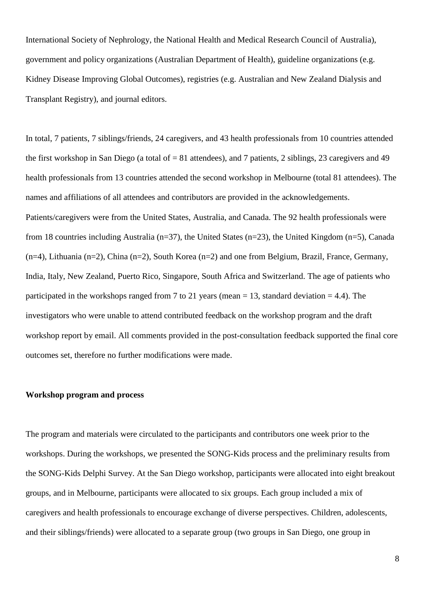International Society of Nephrology, the National Health and Medical Research Council of Australia), government and policy organizations (Australian Department of Health), guideline organizations (e.g. Kidney Disease Improving Global Outcomes), registries (e.g. Australian and New Zealand Dialysis and Transplant Registry), and journal editors.

In total, 7 patients, 7 siblings/friends, 24 caregivers, and 43 health professionals from 10 countries attended the first workshop in San Diego (a total of = 81 attendees), and 7 patients, 2 siblings, 23 caregivers and 49 health professionals from 13 countries attended the second workshop in Melbourne (total 81 attendees). The names and affiliations of all attendees and contributors are provided in the acknowledgements. Patients/caregivers were from the United States, Australia, and Canada. The 92 health professionals were from 18 countries including Australia (n=37), the United States (n=23), the United Kingdom (n=5), Canada (n=4), Lithuania (n=2), China (n=2), South Korea (n=2) and one from Belgium, Brazil, France, Germany, India, Italy, New Zealand, Puerto Rico, Singapore, South Africa and Switzerland. The age of patients who participated in the workshops ranged from 7 to 21 years (mean  $= 13$ , standard deviation  $= 4.4$ ). The investigators who were unable to attend contributed feedback on the workshop program and the draft workshop report by email. All comments provided in the post-consultation feedback supported the final core outcomes set, therefore no further modifications were made.

#### **Workshop program and process**

The program and materials were circulated to the participants and contributors one week prior to the workshops. During the workshops, we presented the SONG-Kids process and the preliminary results from the SONG-Kids Delphi Survey. At the San Diego workshop, participants were allocated into eight breakout groups, and in Melbourne, participants were allocated to six groups. Each group included a mix of caregivers and health professionals to encourage exchange of diverse perspectives. Children, adolescents, and their siblings/friends) were allocated to a separate group (two groups in San Diego, one group in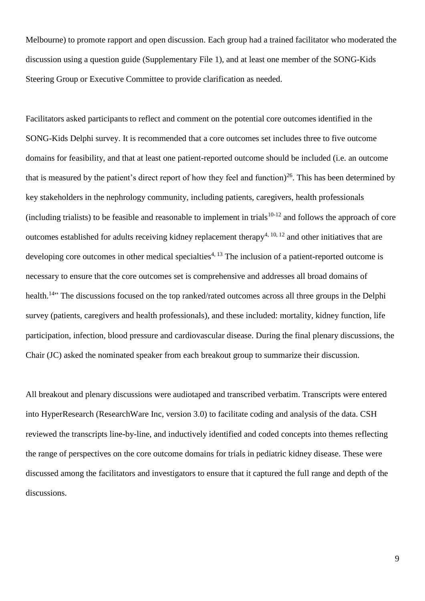Melbourne) to promote rapport and open discussion. Each group had a trained facilitator who moderated the discussion using a question guide (Supplementary File 1), and at least one member of the SONG-Kids Steering Group or Executive Committee to provide clarification as needed.

Facilitators asked participants to reflect and comment on the potential core outcomes identified in the SONG-Kids Delphi survey. It is recommended that a core outcomes set includes three to five outcome domains for feasibility, and that at least one patient-reported outcome should be included (i.e. an outcome that is measured by the patient's direct report of how they feel and function)<sup>26</sup>. This has been determined by key stakeholders in the nephrology community, including patients, caregivers, health professionals (including trialists) to be feasible and reasonable to implement in trials<sup>10-12</sup> and follows the approach of core outcomes established for adults receiving kidney replacement therapy<sup>4, 10, 12</sup> and other initiatives that are developing core outcomes in other medical specialties<sup>4, 13</sup> The inclusion of a patient-reported outcome is necessary to ensure that the core outcomes set is comprehensive and addresses all broad domains of health.<sup>14</sup><sup>,</sup> The discussions focused on the top ranked/rated outcomes across all three groups in the Delphi survey (patients, caregivers and health professionals), and these included: mortality, kidney function, life participation, infection, blood pressure and cardiovascular disease. During the final plenary discussions, the Chair (JC) asked the nominated speaker from each breakout group to summarize their discussion.

All breakout and plenary discussions were audiotaped and transcribed verbatim. Transcripts were entered into HyperResearch (ResearchWare Inc, version 3.0) to facilitate coding and analysis of the data. CSH reviewed the transcripts line-by-line, and inductively identified and coded concepts into themes reflecting the range of perspectives on the core outcome domains for trials in pediatric kidney disease. These were discussed among the facilitators and investigators to ensure that it captured the full range and depth of the discussions.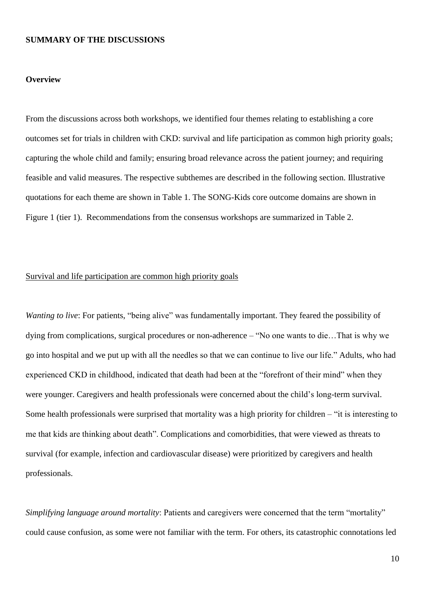#### **SUMMARY OF THE DISCUSSIONS**

#### **Overview**

From the discussions across both workshops, we identified four themes relating to establishing a core outcomes set for trials in children with CKD: survival and life participation as common high priority goals; capturing the whole child and family; ensuring broad relevance across the patient journey; and requiring feasible and valid measures. The respective subthemes are described in the following section. Illustrative quotations for each theme are shown in Table 1. The SONG-Kids core outcome domains are shown in Figure 1 (tier 1). Recommendations from the consensus workshops are summarized in Table 2.

#### Survival and life participation are common high priority goals

*Wanting to live*: For patients, "being alive" was fundamentally important. They feared the possibility of dying from complications, surgical procedures or non-adherence – "No one wants to die…That is why we go into hospital and we put up with all the needles so that we can continue to live our life." Adults, who had experienced CKD in childhood, indicated that death had been at the "forefront of their mind" when they were younger. Caregivers and health professionals were concerned about the child's long-term survival. Some health professionals were surprised that mortality was a high priority for children – "it is interesting to me that kids are thinking about death". Complications and comorbidities, that were viewed as threats to survival (for example, infection and cardiovascular disease) were prioritized by caregivers and health professionals.

*Simplifying language around mortality*: Patients and caregivers were concerned that the term "mortality" could cause confusion, as some were not familiar with the term. For others, its catastrophic connotations led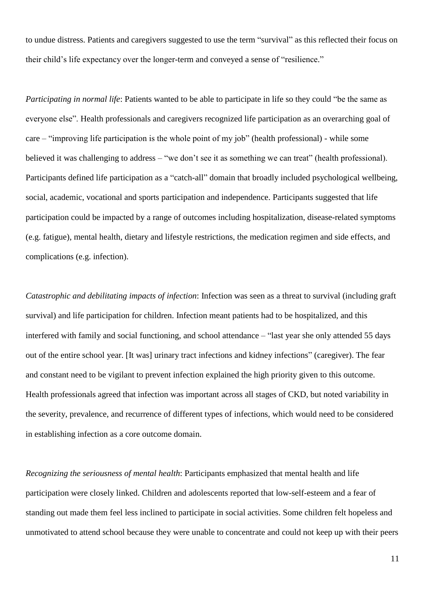to undue distress. Patients and caregivers suggested to use the term "survival" as this reflected their focus on their child's life expectancy over the longer-term and conveyed a sense of "resilience."

*Participating in normal life*: Patients wanted to be able to participate in life so they could "be the same as everyone else". Health professionals and caregivers recognized life participation as an overarching goal of care – "improving life participation is the whole point of my job" (health professional) - while some believed it was challenging to address – "we don't see it as something we can treat" (health professional). Participants defined life participation as a "catch-all" domain that broadly included psychological wellbeing, social, academic, vocational and sports participation and independence. Participants suggested that life participation could be impacted by a range of outcomes including hospitalization, disease-related symptoms (e.g. fatigue), mental health, dietary and lifestyle restrictions, the medication regimen and side effects, and complications (e.g. infection).

*Catastrophic and debilitating impacts of infection*: Infection was seen as a threat to survival (including graft survival) and life participation for children. Infection meant patients had to be hospitalized, and this interfered with family and social functioning, and school attendance – "last year she only attended 55 days out of the entire school year. [It was] urinary tract infections and kidney infections" (caregiver). The fear and constant need to be vigilant to prevent infection explained the high priority given to this outcome. Health professionals agreed that infection was important across all stages of CKD, but noted variability in the severity, prevalence, and recurrence of different types of infections, which would need to be considered in establishing infection as a core outcome domain.

*Recognizing the seriousness of mental health*: Participants emphasized that mental health and life participation were closely linked. Children and adolescents reported that low-self-esteem and a fear of standing out made them feel less inclined to participate in social activities. Some children felt hopeless and unmotivated to attend school because they were unable to concentrate and could not keep up with their peers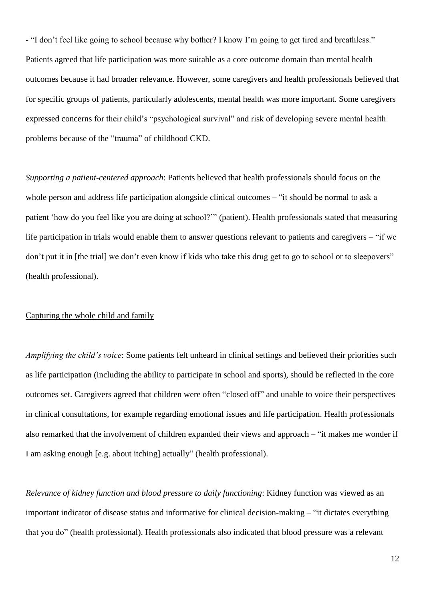- "I don't feel like going to school because why bother? I know I'm going to get tired and breathless." Patients agreed that life participation was more suitable as a core outcome domain than mental health outcomes because it had broader relevance. However, some caregivers and health professionals believed that for specific groups of patients, particularly adolescents, mental health was more important. Some caregivers expressed concerns for their child's "psychological survival" and risk of developing severe mental health problems because of the "trauma" of childhood CKD.

*Supporting a patient-centered approach*: Patients believed that health professionals should focus on the whole person and address life participation alongside clinical outcomes – "it should be normal to ask a patient 'how do you feel like you are doing at school?'" (patient). Health professionals stated that measuring life participation in trials would enable them to answer questions relevant to patients and caregivers – "if we don't put it in [the trial] we don't even know if kids who take this drug get to go to school or to sleepovers" (health professional).

#### Capturing the whole child and family

*Amplifying the child's voice*: Some patients felt unheard in clinical settings and believed their priorities such as life participation (including the ability to participate in school and sports), should be reflected in the core outcomes set. Caregivers agreed that children were often "closed off" and unable to voice their perspectives in clinical consultations, for example regarding emotional issues and life participation. Health professionals also remarked that the involvement of children expanded their views and approach – "it makes me wonder if I am asking enough [e.g. about itching] actually" (health professional).

*Relevance of kidney function and blood pressure to daily functioning*: Kidney function was viewed as an important indicator of disease status and informative for clinical decision-making – "it dictates everything that you do" (health professional). Health professionals also indicated that blood pressure was a relevant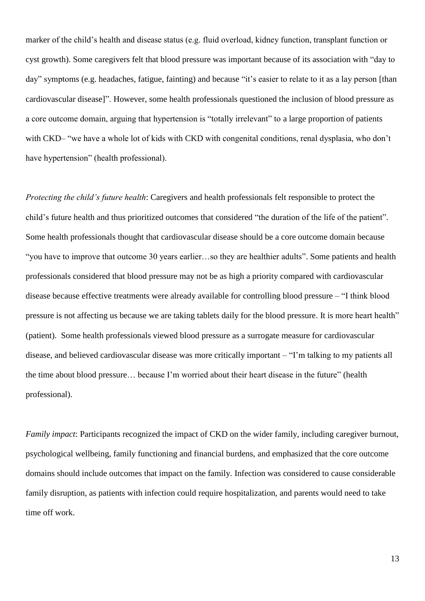marker of the child's health and disease status (e.g. fluid overload, kidney function, transplant function or cyst growth). Some caregivers felt that blood pressure was important because of its association with "day to day" symptoms (e.g. headaches, fatigue, fainting) and because "it's easier to relate to it as a lay person [than cardiovascular disease]". However, some health professionals questioned the inclusion of blood pressure as a core outcome domain, arguing that hypertension is "totally irrelevant" to a large proportion of patients with CKD– "we have a whole lot of kids with CKD with congenital conditions, renal dysplasia, who don't have hypertension" (health professional).

*Protecting the child's future health*: Caregivers and health professionals felt responsible to protect the child's future health and thus prioritized outcomes that considered "the duration of the life of the patient". Some health professionals thought that cardiovascular disease should be a core outcome domain because "you have to improve that outcome 30 years earlier…so they are healthier adults". Some patients and health professionals considered that blood pressure may not be as high a priority compared with cardiovascular disease because effective treatments were already available for controlling blood pressure – "I think blood pressure is not affecting us because we are taking tablets daily for the blood pressure. It is more heart health" (patient). Some health professionals viewed blood pressure as a surrogate measure for cardiovascular disease, and believed cardiovascular disease was more critically important – "I'm talking to my patients all the time about blood pressure… because I'm worried about their heart disease in the future" (health professional).

*Family impact*: Participants recognized the impact of CKD on the wider family, including caregiver burnout, psychological wellbeing, family functioning and financial burdens, and emphasized that the core outcome domains should include outcomes that impact on the family. Infection was considered to cause considerable family disruption, as patients with infection could require hospitalization, and parents would need to take time off work.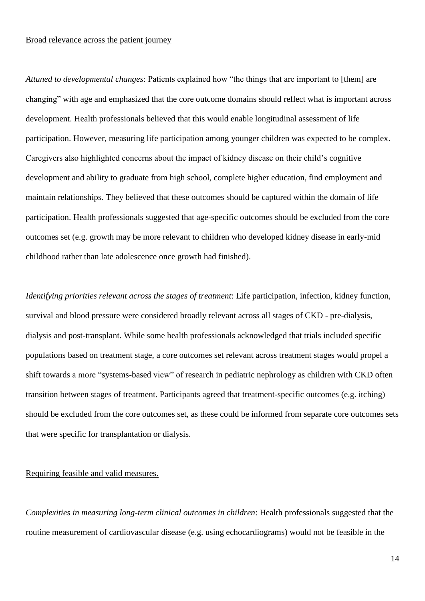#### Broad relevance across the patient journey

*Attuned to developmental changes*: Patients explained how "the things that are important to [them] are changing" with age and emphasized that the core outcome domains should reflect what is important across development. Health professionals believed that this would enable longitudinal assessment of life participation. However, measuring life participation among younger children was expected to be complex. Caregivers also highlighted concerns about the impact of kidney disease on their child's cognitive development and ability to graduate from high school, complete higher education, find employment and maintain relationships. They believed that these outcomes should be captured within the domain of life participation. Health professionals suggested that age-specific outcomes should be excluded from the core outcomes set (e.g. growth may be more relevant to children who developed kidney disease in early-mid childhood rather than late adolescence once growth had finished).

*Identifying priorities relevant across the stages of treatment*: Life participation, infection, kidney function, survival and blood pressure were considered broadly relevant across all stages of CKD - pre-dialysis, dialysis and post-transplant. While some health professionals acknowledged that trials included specific populations based on treatment stage, a core outcomes set relevant across treatment stages would propel a shift towards a more "systems-based view" of research in pediatric nephrology as children with CKD often transition between stages of treatment. Participants agreed that treatment-specific outcomes (e.g. itching) should be excluded from the core outcomes set, as these could be informed from separate core outcomes sets that were specific for transplantation or dialysis.

#### Requiring feasible and valid measures.

*Complexities in measuring long-term clinical outcomes in children*: Health professionals suggested that the routine measurement of cardiovascular disease (e.g. using echocardiograms) would not be feasible in the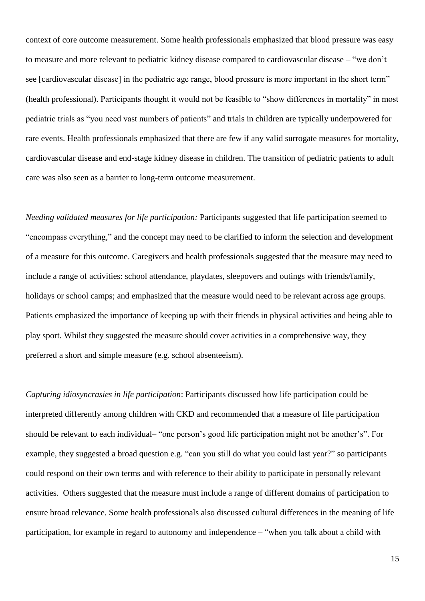context of core outcome measurement. Some health professionals emphasized that blood pressure was easy to measure and more relevant to pediatric kidney disease compared to cardiovascular disease – "we don't see [cardiovascular disease] in the pediatric age range, blood pressure is more important in the short term" (health professional). Participants thought it would not be feasible to "show differences in mortality" in most pediatric trials as "you need vast numbers of patients" and trials in children are typically underpowered for rare events. Health professionals emphasized that there are few if any valid surrogate measures for mortality, cardiovascular disease and end-stage kidney disease in children. The transition of pediatric patients to adult care was also seen as a barrier to long-term outcome measurement.

*Needing validated measures for life participation:* Participants suggested that life participation seemed to "encompass everything," and the concept may need to be clarified to inform the selection and development of a measure for this outcome. Caregivers and health professionals suggested that the measure may need to include a range of activities: school attendance, playdates, sleepovers and outings with friends/family, holidays or school camps; and emphasized that the measure would need to be relevant across age groups. Patients emphasized the importance of keeping up with their friends in physical activities and being able to play sport. Whilst they suggested the measure should cover activities in a comprehensive way, they preferred a short and simple measure (e.g. school absenteeism).

*Capturing idiosyncrasies in life participation*: Participants discussed how life participation could be interpreted differently among children with CKD and recommended that a measure of life participation should be relevant to each individual– "one person's good life participation might not be another's". For example, they suggested a broad question e.g. "can you still do what you could last year?" so participants could respond on their own terms and with reference to their ability to participate in personally relevant activities. Others suggested that the measure must include a range of different domains of participation to ensure broad relevance. Some health professionals also discussed cultural differences in the meaning of life participation, for example in regard to autonomy and independence – "when you talk about a child with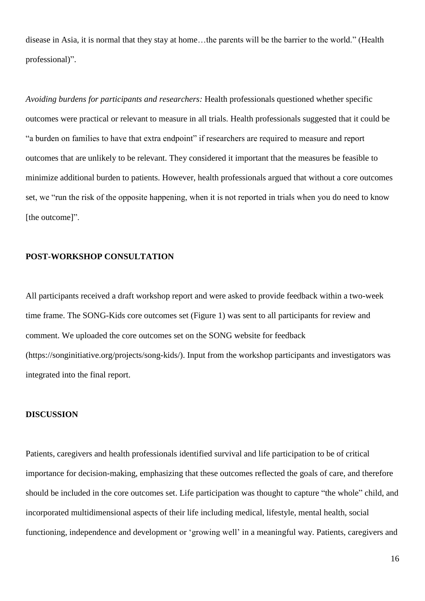disease in Asia, it is normal that they stay at home…the parents will be the barrier to the world." (Health professional)".

*Avoiding burdens for participants and researchers:* Health professionals questioned whether specific outcomes were practical or relevant to measure in all trials. Health professionals suggested that it could be "a burden on families to have that extra endpoint" if researchers are required to measure and report outcomes that are unlikely to be relevant. They considered it important that the measures be feasible to minimize additional burden to patients. However, health professionals argued that without a core outcomes set, we "run the risk of the opposite happening, when it is not reported in trials when you do need to know [the outcome]".

#### **POST-WORKSHOP CONSULTATION**

All participants received a draft workshop report and were asked to provide feedback within a two-week time frame. The SONG-Kids core outcomes set (Figure 1) was sent to all participants for review and comment. We uploaded the core outcomes set on the SONG website for feedback (https://songinitiative.org/projects/song-kids/). Input from the workshop participants and investigators was integrated into the final report.

#### **DISCUSSION**

Patients, caregivers and health professionals identified survival and life participation to be of critical importance for decision-making, emphasizing that these outcomes reflected the goals of care, and therefore should be included in the core outcomes set. Life participation was thought to capture "the whole" child, and incorporated multidimensional aspects of their life including medical, lifestyle, mental health, social functioning, independence and development or 'growing well' in a meaningful way. Patients, caregivers and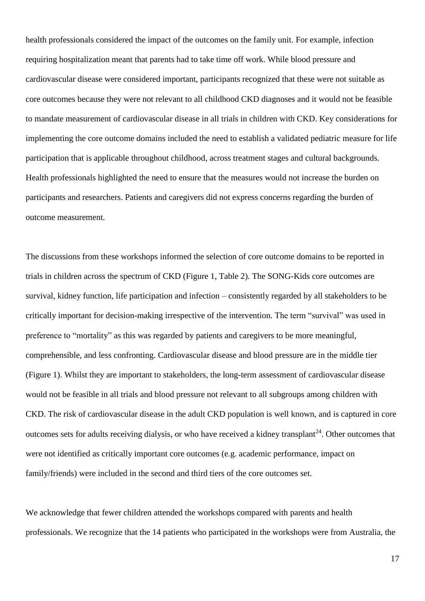health professionals considered the impact of the outcomes on the family unit. For example, infection requiring hospitalization meant that parents had to take time off work. While blood pressure and cardiovascular disease were considered important, participants recognized that these were not suitable as core outcomes because they were not relevant to all childhood CKD diagnoses and it would not be feasible to mandate measurement of cardiovascular disease in all trials in children with CKD. Key considerations for implementing the core outcome domains included the need to establish a validated pediatric measure for life participation that is applicable throughout childhood, across treatment stages and cultural backgrounds. Health professionals highlighted the need to ensure that the measures would not increase the burden on participants and researchers. Patients and caregivers did not express concerns regarding the burden of outcome measurement.

The discussions from these workshops informed the selection of core outcome domains to be reported in trials in children across the spectrum of CKD (Figure 1, Table 2). The SONG-Kids core outcomes are survival, kidney function, life participation and infection – consistently regarded by all stakeholders to be critically important for decision-making irrespective of the intervention. The term "survival" was used in preference to "mortality" as this was regarded by patients and caregivers to be more meaningful, comprehensible, and less confronting. Cardiovascular disease and blood pressure are in the middle tier (Figure 1). Whilst they are important to stakeholders, the long-term assessment of cardiovascular disease would not be feasible in all trials and blood pressure not relevant to all subgroups among children with CKD. The risk of cardiovascular disease in the adult CKD population is well known, and is captured in core outcomes sets for adults receiving dialysis, or who have received a kidney transplant<sup>24</sup>. Other outcomes that were not identified as critically important core outcomes (e.g. academic performance, impact on family/friends) were included in the second and third tiers of the core outcomes set.

We acknowledge that fewer children attended the workshops compared with parents and health professionals. We recognize that the 14 patients who participated in the workshops were from Australia, the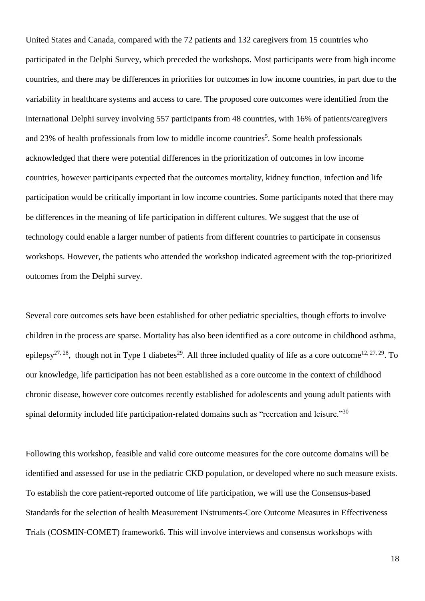United States and Canada, compared with the 72 patients and 132 caregivers from 15 countries who participated in the Delphi Survey, which preceded the workshops. Most participants were from high income countries, and there may be differences in priorities for outcomes in low income countries, in part due to the variability in healthcare systems and access to care. The proposed core outcomes were identified from the international Delphi survey involving 557 participants from 48 countries, with 16% of patients/caregivers and 23% of health professionals from low to middle income countries<sup>5</sup>. Some health professionals acknowledged that there were potential differences in the prioritization of outcomes in low income countries, however participants expected that the outcomes mortality, kidney function, infection and life participation would be critically important in low income countries. Some participants noted that there may be differences in the meaning of life participation in different cultures. We suggest that the use of technology could enable a larger number of patients from different countries to participate in consensus workshops. However, the patients who attended the workshop indicated agreement with the top-prioritized outcomes from the Delphi survey.

Several core outcomes sets have been established for other pediatric specialties, though efforts to involve children in the process are sparse. Mortality has also been identified as a core outcome in childhood asthma, epilepsy<sup>27, 28</sup>, though not in Type 1 diabetes<sup>29</sup>. All three included quality of life as a core outcome<sup>12, 27, 29</sup>. To our knowledge, life participation has not been established as a core outcome in the context of childhood chronic disease, however core outcomes recently established for adolescents and young adult patients with spinal deformity included life participation-related domains such as "recreation and leisure."<sup>30</sup>

Following this workshop, feasible and valid core outcome measures for the core outcome domains will be identified and assessed for use in the pediatric CKD population, or developed where no such measure exists. To establish the core patient-reported outcome of life participation, we will use the Consensus-based Standards for the selection of health Measurement INstruments-Core Outcome Measures in Effectiveness Trials (COSMIN-COMET) framework6. This will involve interviews and consensus workshops with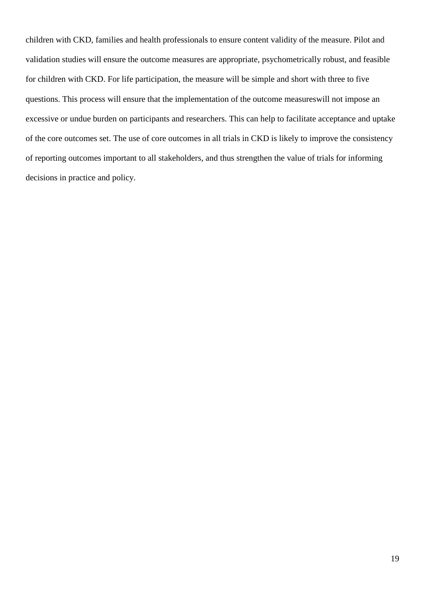children with CKD, families and health professionals to ensure content validity of the measure. Pilot and validation studies will ensure the outcome measures are appropriate, psychometrically robust, and feasible for children with CKD. For life participation, the measure will be simple and short with three to five questions. This process will ensure that the implementation of the outcome measureswill not impose an excessive or undue burden on participants and researchers. This can help to facilitate acceptance and uptake of the core outcomes set. The use of core outcomes in all trials in CKD is likely to improve the consistency of reporting outcomes important to all stakeholders, and thus strengthen the value of trials for informing decisions in practice and policy.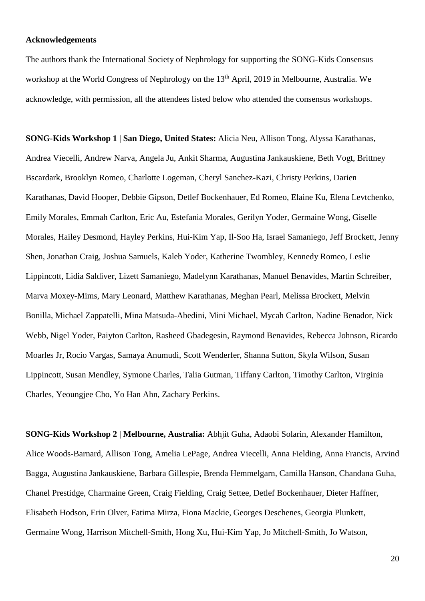#### **Acknowledgements**

The authors thank the International Society of Nephrology for supporting the SONG-Kids Consensus workshop at the World Congress of Nephrology on the 13<sup>th</sup> April, 2019 in Melbourne, Australia. We acknowledge, with permission, all the attendees listed below who attended the consensus workshops.

**SONG-Kids Workshop 1 | San Diego, United States:** Alicia Neu, Allison Tong, Alyssa Karathanas, Andrea Viecelli, Andrew Narva, Angela Ju, Ankit Sharma, Augustina Jankauskiene, Beth Vogt, Brittney Bscardark, Brooklyn Romeo, Charlotte Logeman, Cheryl Sanchez-Kazi, Christy Perkins, Darien Karathanas, David Hooper, Debbie Gipson, Detlef Bockenhauer, Ed Romeo, Elaine Ku, Elena Levtchenko, Emily Morales, Emmah Carlton, Eric Au, Estefania Morales, Gerilyn Yoder, Germaine Wong, Giselle Morales, Hailey Desmond, Hayley Perkins, Hui-Kim Yap, Il-Soo Ha, Israel Samaniego, Jeff Brockett, Jenny Shen, Jonathan Craig, Joshua Samuels, Kaleb Yoder, Katherine Twombley, Kennedy Romeo, Leslie Lippincott, Lidia Saldiver, Lizett Samaniego, Madelynn Karathanas, Manuel Benavides, Martin Schreiber, Marva Moxey-Mims, Mary Leonard, Matthew Karathanas, Meghan Pearl, Melissa Brockett, Melvin Bonilla, Michael Zappatelli, Mina Matsuda-Abedini, Mini Michael, Mycah Carlton, Nadine Benador, Nick Webb, Nigel Yoder, Paiyton Carlton, Rasheed Gbadegesin, Raymond Benavides, Rebecca Johnson, Ricardo Moarles Jr, Rocio Vargas, Samaya Anumudi, Scott Wenderfer, Shanna Sutton, Skyla Wilson, Susan Lippincott, Susan Mendley, Symone Charles, Talia Gutman, Tiffany Carlton, Timothy Carlton, Virginia Charles, Yeoungjee Cho, Yo Han Ahn, Zachary Perkins.

**SONG-Kids Workshop 2 | Melbourne, Australia:** Abhjit Guha, Adaobi Solarin, Alexander Hamilton, Alice Woods-Barnard, Allison Tong, Amelia LePage, Andrea Viecelli, Anna Fielding, Anna Francis, Arvind Bagga, Augustina Jankauskiene, Barbara Gillespie, Brenda Hemmelgarn, Camilla Hanson, Chandana Guha, Chanel Prestidge, Charmaine Green, Craig Fielding, Craig Settee, Detlef Bockenhauer, Dieter Haffner, Elisabeth Hodson, Erin Olver, Fatima Mirza, Fiona Mackie, Georges Deschenes, Georgia Plunkett, Germaine Wong, Harrison Mitchell-Smith, Hong Xu, Hui-Kim Yap, Jo Mitchell-Smith, Jo Watson,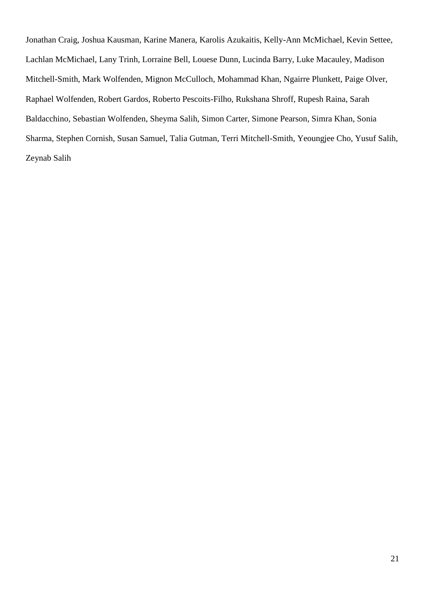Jonathan Craig, Joshua Kausman, Karine Manera, Karolis Azukaitis, Kelly-Ann McMichael, Kevin Settee, Lachlan McMichael, Lany Trinh, Lorraine Bell, Louese Dunn, Lucinda Barry, Luke Macauley, Madison Mitchell-Smith, Mark Wolfenden, Mignon McCulloch, Mohammad Khan, Ngairre Plunkett, Paige Olver, Raphael Wolfenden, Robert Gardos, Roberto Pescoits-Filho, Rukshana Shroff, Rupesh Raina, Sarah Baldacchino, Sebastian Wolfenden, Sheyma Salih, Simon Carter, Simone Pearson, Simra Khan, Sonia Sharma, Stephen Cornish, Susan Samuel, Talia Gutman, Terri Mitchell-Smith, Yeoungjee Cho, Yusuf Salih, Zeynab Salih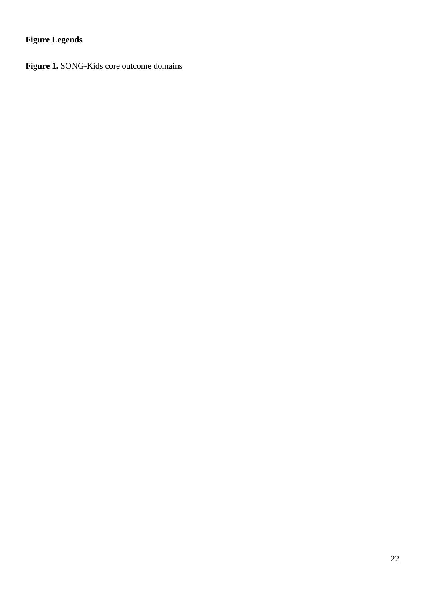# **Figure Legends**

**Figure 1.** SONG-Kids core outcome domains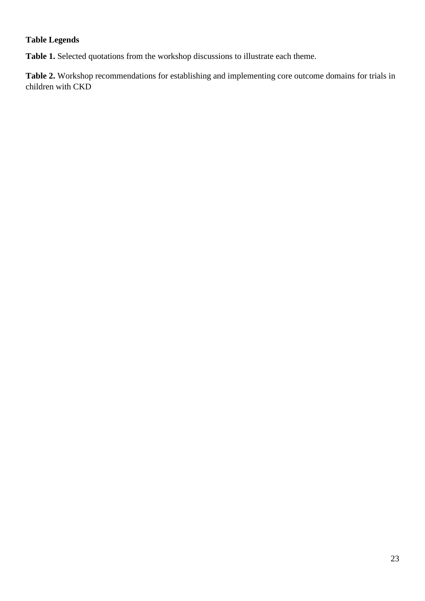# **Table Legends**

**Table 1.** Selected quotations from the workshop discussions to illustrate each theme.

**Table 2.** Workshop recommendations for establishing and implementing core outcome domains for trials in children with CKD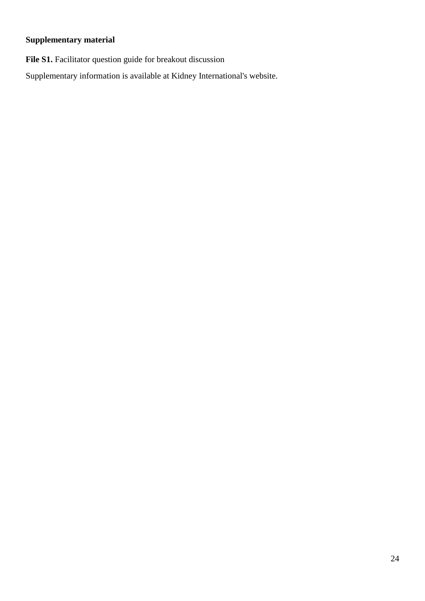# **Supplementary material**

File S1. Facilitator question guide for breakout discussion

Supplementary information is available at Kidney International's website.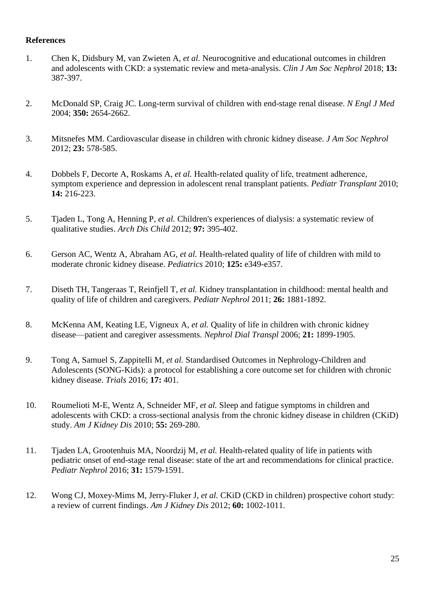#### **References**

- 1. Chen K, Didsbury M, van Zwieten A*, et al.* Neurocognitive and educational outcomes in children and adolescents with CKD: a systematic review and meta-analysis. *Clin J Am Soc Nephrol* 2018; **13:**  387-397.
- 2. McDonald SP, Craig JC. Long-term survival of children with end-stage renal disease. *N Engl J Med* 2004; **350:** 2654-2662.
- 3. Mitsnefes MM. Cardiovascular disease in children with chronic kidney disease. *J Am Soc Nephrol* 2012; **23:** 578-585.
- 4. Dobbels F, Decorte A, Roskams A*, et al.* Health‐related quality of life, treatment adherence, symptom experience and depression in adolescent renal transplant patients. *Pediatr Transplant* 2010; **14:** 216-223.
- 5. Tjaden L, Tong A, Henning P*, et al.* Children's experiences of dialysis: a systematic review of qualitative studies. *Arch Dis Child* 2012; **97:** 395-402.
- 6. Gerson AC, Wentz A, Abraham AG*, et al.* Health-related quality of life of children with mild to moderate chronic kidney disease. *Pediatrics* 2010; **125:** e349-e357.
- 7. Diseth TH, Tangeraas T, Reinfjell T*, et al.* Kidney transplantation in childhood: mental health and quality of life of children and caregivers. *Pediatr Nephrol* 2011; **26:** 1881-1892.
- 8. McKenna AM, Keating LE, Vigneux A*, et al.* Quality of life in children with chronic kidney disease—patient and caregiver assessments. *Nephrol Dial Transpl* 2006; **21:** 1899-1905.
- 9. Tong A, Samuel S, Zappitelli M*, et al.* Standardised Outcomes in Nephrology-Children and Adolescents (SONG-Kids): a protocol for establishing a core outcome set for children with chronic kidney disease. *Trials* 2016; **17:** 401.
- 10. Roumelioti M-E, Wentz A, Schneider MF*, et al.* Sleep and fatigue symptoms in children and adolescents with CKD: a cross-sectional analysis from the chronic kidney disease in children (CKiD) study. *Am J Kidney Dis* 2010; **55:** 269-280.
- 11. Tjaden LA, Grootenhuis MA, Noordzij M*, et al.* Health-related quality of life in patients with pediatric onset of end-stage renal disease: state of the art and recommendations for clinical practice. *Pediatr Nephrol* 2016; **31:** 1579-1591.
- 12. Wong CJ, Moxey-Mims M, Jerry-Fluker J*, et al.* CKiD (CKD in children) prospective cohort study: a review of current findings. *Am J Kidney Dis* 2012; **60:** 1002-1011.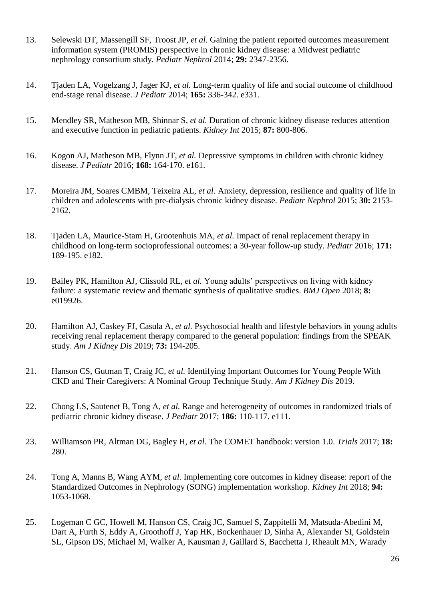- 13. Selewski DT, Massengill SF, Troost JP*, et al.* Gaining the patient reported outcomes measurement information system (PROMIS) perspective in chronic kidney disease: a Midwest pediatric nephrology consortium study. *Pediatr Nephrol* 2014; **29:** 2347-2356.
- 14. Tjaden LA, Vogelzang J, Jager KJ*, et al.* Long-term quality of life and social outcome of childhood end-stage renal disease. *J Pediatr* 2014; **165:** 336-342. e331.
- 15. Mendley SR, Matheson MB, Shinnar S*, et al.* Duration of chronic kidney disease reduces attention and executive function in pediatric patients. *Kidney Int* 2015; **87:** 800-806.
- 16. Kogon AJ, Matheson MB, Flynn JT*, et al.* Depressive symptoms in children with chronic kidney disease. *J Pediatr* 2016; **168:** 164-170. e161.
- 17. Moreira JM, Soares CMBM, Teixeira AL*, et al.* Anxiety, depression, resilience and quality of life in children and adolescents with pre-dialysis chronic kidney disease. *Pediatr Nephrol* 2015; **30:** 2153- 2162.
- 18. Tjaden LA, Maurice-Stam H, Grootenhuis MA*, et al.* Impact of renal replacement therapy in childhood on long-term socioprofessional outcomes: a 30-year follow-up study. *Pediatr* 2016; **171:**  189-195. e182.
- 19. Bailey PK, Hamilton AJ, Clissold RL*, et al.* Young adults' perspectives on living with kidney failure: a systematic review and thematic synthesis of qualitative studies. *BMJ Open* 2018; **8:**  e019926.
- 20. Hamilton AJ, Caskey FJ, Casula A*, et al.* Psychosocial health and lifestyle behaviors in young adults receiving renal replacement therapy compared to the general population: findings from the SPEAK study. *Am J Kidney Dis* 2019; **73:** 194-205.
- 21. Hanson CS, Gutman T, Craig JC*, et al.* Identifying Important Outcomes for Young People With CKD and Their Caregivers: A Nominal Group Technique Study. *Am J Kidney Dis* 2019.
- 22. Chong LS, Sautenet B, Tong A*, et al.* Range and heterogeneity of outcomes in randomized trials of pediatric chronic kidney disease. *J Pediatr* 2017; **186:** 110-117. e111.
- 23. Williamson PR, Altman DG, Bagley H*, et al.* The COMET handbook: version 1.0. *Trials* 2017; **18:**  280.
- 24. Tong A, Manns B, Wang AYM*, et al.* Implementing core outcomes in kidney disease: report of the Standardized Outcomes in Nephrology (SONG) implementation workshop. *Kidney Int* 2018; **94:**  1053-1068.
- 25. Logeman C GC, Howell M, Hanson CS, Craig JC, Samuel S, Zappitelli M, Matsuda-Abedini M, Dart A, Furth S, Eddy A, Groothoff J, Yap HK, Bockenhauer D, Sinha A, Alexander SI, Goldstein SL, Gipson DS, Michael M, Walker A, Kausman J, Gaillard S, Bacchetta J, Rheault MN, Warady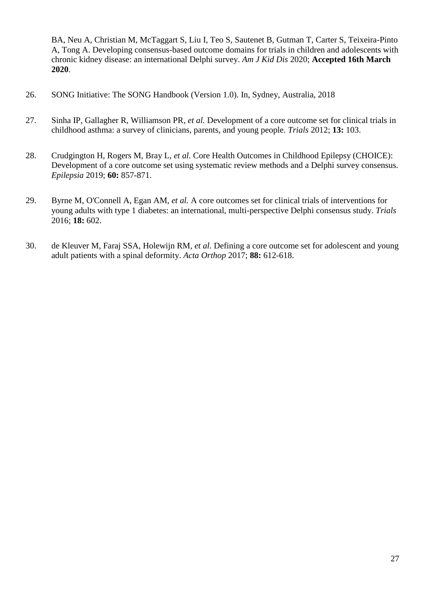BA, Neu A, Christian M, McTaggart S, Liu I, Teo S, Sautenet B, Gutman T, Carter S, Teixeira-Pinto A, Tong A. Developing consensus-based outcome domains for trials in children and adolescents with chronic kidney disease: an international Delphi survey. *Am J Kid Dis* 2020; **Accepted 16th March 2020**.

- 26. SONG Initiative: The SONG Handbook (Version 1.0). In, Sydney, Australia, 2018
- 27. Sinha IP, Gallagher R, Williamson PR*, et al.* Development of a core outcome set for clinical trials in childhood asthma: a survey of clinicians, parents, and young people. *Trials* 2012; **13:** 103.
- 28. Crudgington H, Rogers M, Bray L*, et al.* Core Health Outcomes in Childhood Epilepsy (CHOICE): Development of a core outcome set using systematic review methods and a Delphi survey consensus. *Epilepsia* 2019; **60:** 857-871.
- 29. Byrne M, O'Connell A, Egan AM*, et al.* A core outcomes set for clinical trials of interventions for young adults with type 1 diabetes: an international, multi-perspective Delphi consensus study. *Trials* 2016; **18:** 602.
- 30. de Kleuver M, Faraj SSA, Holewijn RM*, et al.* Defining a core outcome set for adolescent and young adult patients with a spinal deformity. *Acta Orthop* 2017; **88:** 612-618.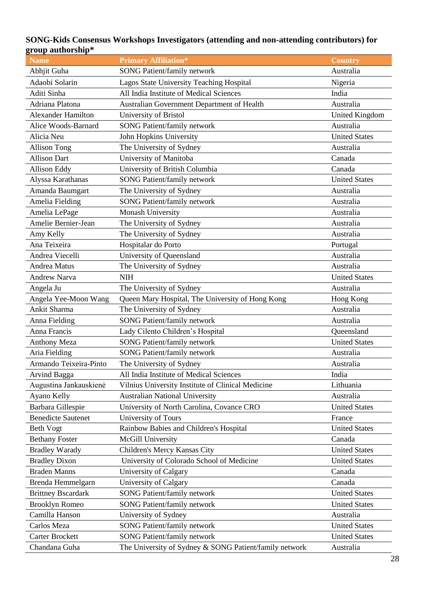#### **SONG-Kids Consensus Workshops Investigators (attending and non-attending contributors) for group authorship\***

| uup aaanoromp             |                                                        |                       |
|---------------------------|--------------------------------------------------------|-----------------------|
| <b>Name</b>               | <b>Primary Affiliation*</b>                            | <b>Country</b>        |
| Abhjit Guha               | <b>SONG Patient/family network</b>                     | Australia             |
| Adaobi Solarin            | Lagos State University Teaching Hospital               | Nigeria               |
| Aditi Sinha               | All India Institute of Medical Sciences                | India                 |
| Adriana Platona           | Australian Government Department of Health             | Australia             |
| <b>Alexander Hamilton</b> | University of Bristol                                  | <b>United Kingdom</b> |
| Alice Woods-Barnard       | <b>SONG Patient/family network</b>                     | Australia             |
| Alicia Neu                | John Hopkins University                                | <b>United States</b>  |
| <b>Allison Tong</b>       | The University of Sydney                               | Australia             |
| <b>Allison Dart</b>       | University of Manitoba                                 | Canada                |
| <b>Allison Eddy</b>       | University of British Columbia                         | Canada                |
| Alyssa Karathanas         | <b>SONG Patient/family network</b>                     | <b>United States</b>  |
| Amanda Baumgart           | The University of Sydney                               | Australia             |
| Amelia Fielding           | <b>SONG Patient/family network</b>                     | Australia             |
| Amelia LePage             | Monash University                                      | Australia             |
| Amelie Bernier-Jean       | The University of Sydney                               | Australia             |
| Amy Kelly                 | The University of Sydney                               | Australia             |
| Ana Teixeira              | Hospitalar do Porto                                    | Portugal              |
| Andrea Viecelli           | University of Queensland                               | Australia             |
| <b>Andrea Matus</b>       | The University of Sydney                               | Australia             |
| <b>Andrew Narva</b>       | <b>NIH</b>                                             | <b>United States</b>  |
| Angela Ju                 | The University of Sydney                               | Australia             |
| Angela Yee-Moon Wang      | Queen Mary Hospital, The University of Hong Kong       | Hong Kong             |
| Ankit Sharma              | The University of Sydney                               | Australia             |
| Anna Fielding             | <b>SONG Patient/family network</b>                     | Australia             |
| Anna Francis              | Lady Cilento Children's Hospital                       | Queensland            |
| <b>Anthony Meza</b>       | <b>SONG Patient/family network</b>                     | <b>United States</b>  |
| Aria Fielding             | <b>SONG Patient/family network</b>                     | Australia             |
| Armando Teixeira-Pinto    | The University of Sydney                               | Australia             |
| Arvind Bagga              | All India Institute of Medical Sciences                | India                 |
| Augustina Jankauskienė    | Vilnius University Institute of Clinical Medicine      | Lithuania             |
| Ayano Kelly               | <b>Australian National University</b>                  | Australia             |
| Barbara Gillespie         | University of North Carolina, Covance CRO              | <b>United States</b>  |
| <b>Benedicte Sautenet</b> | University of Tours                                    | France                |
| <b>Beth Vogt</b>          | Rainbow Babies and Children's Hospital                 | <b>United States</b>  |
| <b>Bethany Foster</b>     | McGill University                                      | Canada                |
| <b>Bradley Warady</b>     | Children's Mercy Kansas City                           | <b>United States</b>  |
| <b>Bradley Dixon</b>      | University of Colorado School of Medicine              | <b>United States</b>  |
| <b>Braden Manns</b>       | University of Calgary                                  | Canada                |
| Brenda Hemmelgarn         | University of Calgary                                  | Canada                |
| <b>Brittney Bscardark</b> | <b>SONG Patient/family network</b>                     | <b>United States</b>  |
| <b>Brooklyn Romeo</b>     | <b>SONG Patient/family network</b>                     | <b>United States</b>  |
| Camilla Hanson            | University of Sydney                                   | Australia             |
| Carlos Meza               | <b>SONG Patient/family network</b>                     | <b>United States</b>  |
| <b>Carter Brockett</b>    | <b>SONG Patient/family network</b>                     | <b>United States</b>  |
| Chandana Guha             | The University of Sydney & SONG Patient/family network | Australia             |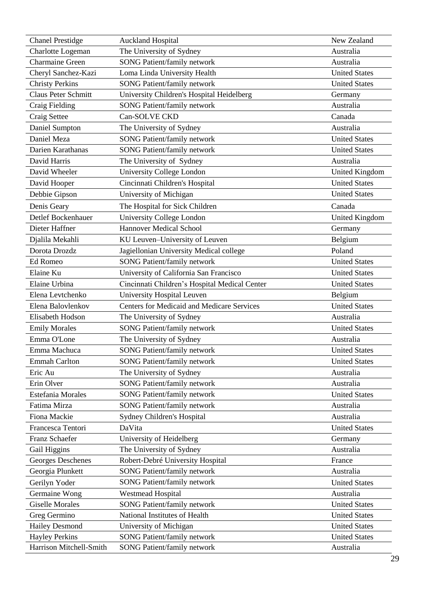| <b>Chanel Prestidge</b>    | <b>Auckland Hospital</b>                          | New Zealand           |
|----------------------------|---------------------------------------------------|-----------------------|
| Charlotte Logeman          | The University of Sydney                          | Australia             |
| Charmaine Green            | <b>SONG Patient/family network</b>                | Australia             |
| Cheryl Sanchez-Kazi        | Loma Linda University Health                      | <b>United States</b>  |
| <b>Christy Perkins</b>     | <b>SONG Patient/family network</b>                | <b>United States</b>  |
| <b>Claus Peter Schmitt</b> | University Children's Hospital Heidelberg         | Germany               |
| Craig Fielding             | <b>SONG Patient/family network</b>                | Australia             |
| Craig Settee               | Can-SOLVE CKD                                     | Canada                |
| Daniel Sumpton             | The University of Sydney                          | Australia             |
| Daniel Meza                | <b>SONG Patient/family network</b>                | <b>United States</b>  |
| Darien Karathanas          | <b>SONG Patient/family network</b>                | <b>United States</b>  |
| David Harris               | The University of Sydney                          | Australia             |
| David Wheeler              | University College London                         | <b>United Kingdom</b> |
| David Hooper               | Cincinnati Children's Hospital                    | <b>United States</b>  |
| Debbie Gipson              | University of Michigan                            | <b>United States</b>  |
| Denis Geary                | The Hospital for Sick Children                    | Canada                |
| Detlef Bockenhauer         | University College London                         | <b>United Kingdom</b> |
| Dieter Haffner             | <b>Hannover Medical School</b>                    | Germany               |
| Djalila Mekahli            | KU Leuven-University of Leuven                    | Belgium               |
| Dorota Drozdz              | Jagiellonian University Medical college           | Poland                |
| Ed Romeo                   | <b>SONG Patient/family network</b>                | <b>United States</b>  |
| Elaine Ku                  | University of California San Francisco            | <b>United States</b>  |
| Elaine Urbina              | Cincinnati Children's Hospital Medical Center     | <b>United States</b>  |
| Elena Levtchenko           | University Hospital Leuven                        | Belgium               |
| Elena Balovlenkov          | <b>Centers for Medicaid and Medicare Services</b> | <b>United States</b>  |
| Elisabeth Hodson           | The University of Sydney                          | Australia             |
| <b>Emily Morales</b>       | <b>SONG Patient/family network</b>                | <b>United States</b>  |
| Emma O'Lone                | The University of Sydney                          | Australia             |
| Emma Machuca               | <b>SONG Patient/family network</b>                | <b>United States</b>  |
| <b>Emmah Carlton</b>       | <b>SONG Patient/family network</b>                | <b>United States</b>  |
| Eric Au                    | The University of Sydney                          | Australia             |
| Erin Olver                 | <b>SONG Patient/family network</b>                | Australia             |
| Estefania Morales          | <b>SONG Patient/family network</b>                | <b>United States</b>  |
| Fatima Mirza               | <b>SONG Patient/family network</b>                | Australia             |
| Fiona Mackie               | <b>Sydney Children's Hospital</b>                 | Australia             |
| Francesca Tentori          | DaVita                                            | <b>United States</b>  |
| <b>Franz Schaefer</b>      | University of Heidelberg                          | Germany               |
| Gail Higgins               | The University of Sydney                          | Australia             |
| Georges Deschenes          | Robert-Debré University Hospital                  | France                |
| Georgia Plunkett           | <b>SONG Patient/family network</b>                | Australia             |
| Gerilyn Yoder              | <b>SONG Patient/family network</b>                | <b>United States</b>  |
| Germaine Wong              | <b>Westmead Hospital</b>                          | Australia             |
| <b>Giselle Morales</b>     | <b>SONG Patient/family network</b>                | <b>United States</b>  |
| Greg Germino               | National Institutes of Health                     | <b>United States</b>  |
| <b>Hailey Desmond</b>      | University of Michigan                            | <b>United States</b>  |
| <b>Hayley Perkins</b>      | <b>SONG Patient/family network</b>                | <b>United States</b>  |
| Harrison Mitchell-Smith    | SONG Patient/family network                       | Australia             |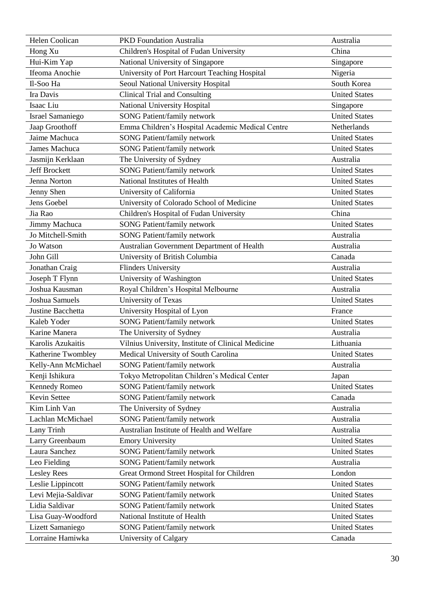| Helen Coolican          | <b>PKD</b> Foundation Australia                    | Australia            |
|-------------------------|----------------------------------------------------|----------------------|
| Hong Xu                 | Children's Hospital of Fudan University            | China                |
| Hui-Kim Yap             | National University of Singapore                   | Singapore            |
| Ifeoma Anochie          | University of Port Harcourt Teaching Hospital      | Nigeria              |
| Il-Soo Ha               | Seoul National University Hospital                 | South Korea          |
| Ira Davis               | <b>Clinical Trial and Consulting</b>               | <b>United States</b> |
| Isaac Liu               | National University Hospital                       | Singapore            |
| <b>Israel Samaniego</b> | <b>SONG Patient/family network</b>                 | <b>United States</b> |
| Jaap Groothoff          | Emma Children's Hospital Academic Medical Centre   | Netherlands          |
| Jaime Machuca           | <b>SONG Patient/family network</b>                 | <b>United States</b> |
| <b>James Machuca</b>    | <b>SONG Patient/family network</b>                 | <b>United States</b> |
| Jasmijn Kerklaan        | The University of Sydney                           | Australia            |
| <b>Jeff Brockett</b>    | <b>SONG Patient/family network</b>                 | <b>United States</b> |
| Jenna Norton            | National Institutes of Health                      | <b>United States</b> |
| Jenny Shen              | University of California                           | <b>United States</b> |
| Jens Goebel             | University of Colorado School of Medicine          | <b>United States</b> |
| Jia Rao                 | Children's Hospital of Fudan University            | China                |
| Jimmy Machuca           | <b>SONG Patient/family network</b>                 | <b>United States</b> |
| Jo Mitchell-Smith       | <b>SONG Patient/family network</b>                 | Australia            |
| Jo Watson               | Australian Government Department of Health         | Australia            |
| John Gill               | University of British Columbia                     | Canada               |
| Jonathan Craig          | <b>Flinders University</b>                         | Australia            |
| Joseph T Flynn          | University of Washington                           | <b>United States</b> |
| Joshua Kausman          | Royal Children's Hospital Melbourne                | Australia            |
| Joshua Samuels          | University of Texas                                | <b>United States</b> |
| Justine Bacchetta       | University Hospital of Lyon                        | France               |
| Kaleb Yoder             | <b>SONG Patient/family network</b>                 | <b>United States</b> |
| Karine Manera           | The University of Sydney                           | Australia            |
| Karolis Azukaitis       | Vilnius University, Institute of Clinical Medicine | Lithuania            |
| Katherine Twombley      | Medical University of South Carolina               | <b>United States</b> |
| Kelly-Ann McMichael     | <b>SONG Patient/family network</b>                 | Australia            |
| Kenji Ishikura          | Tokyo Metropolitan Children's Medical Center       | Japan                |
| <b>Kennedy Romeo</b>    | <b>SONG Patient/family network</b>                 | <b>United States</b> |
| Kevin Settee            | <b>SONG Patient/family network</b>                 | Canada               |
| Kim Linh Van            | The University of Sydney                           | Australia            |
| Lachlan McMichael       | <b>SONG Patient/family network</b>                 | Australia            |
| Lany Trinh              | Australian Institute of Health and Welfare         | Australia            |
| Larry Greenbaum         | <b>Emory University</b>                            | <b>United States</b> |
| Laura Sanchez           | <b>SONG Patient/family network</b>                 | <b>United States</b> |
| Leo Fielding            | <b>SONG Patient/family network</b>                 | Australia            |
| <b>Lesley Rees</b>      | Great Ormond Street Hospital for Children          | London               |
| Leslie Lippincott       | <b>SONG Patient/family network</b>                 | <b>United States</b> |
| Levi Mejia-Saldivar     | <b>SONG Patient/family network</b>                 | <b>United States</b> |
| Lidia Saldivar          | <b>SONG Patient/family network</b>                 | <b>United States</b> |
| Lisa Guay-Woodford      | National Institute of Health                       | <b>United States</b> |
| Lizett Samaniego        | <b>SONG Patient/family network</b>                 | <b>United States</b> |
| Lorraine Hamiwka        | University of Calgary                              | Canada               |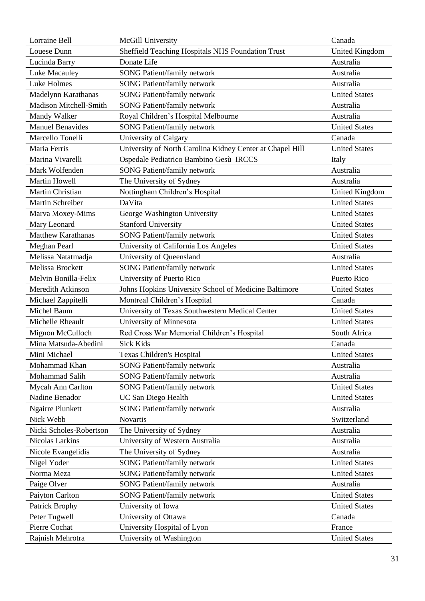| Lorraine Bell                 | McGill University                                         | Canada                |
|-------------------------------|-----------------------------------------------------------|-----------------------|
| Louese Dunn                   | Sheffield Teaching Hospitals NHS Foundation Trust         | <b>United Kingdom</b> |
| Lucinda Barry                 | Donate Life                                               | Australia             |
| Luke Macauley                 | <b>SONG Patient/family network</b>                        | Australia             |
| Luke Holmes                   | <b>SONG Patient/family network</b>                        | Australia             |
| Madelynn Karathanas           | <b>SONG Patient/family network</b>                        | <b>United States</b>  |
| <b>Madison Mitchell-Smith</b> | <b>SONG Patient/family network</b>                        | Australia             |
| Mandy Walker                  | Royal Children's Hospital Melbourne                       | Australia             |
| <b>Manuel Benavides</b>       | SONG Patient/family network                               | <b>United States</b>  |
| Marcello Tonelli              | University of Calgary                                     | Canada                |
| Maria Ferris                  | University of North Carolina Kidney Center at Chapel Hill | <b>United States</b>  |
| Marina Vivarelli              | Ospedale Pediatrico Bambino Gesù-IRCCS                    | Italy                 |
| Mark Wolfenden                | <b>SONG Patient/family network</b>                        | Australia             |
| <b>Martin Howell</b>          | The University of Sydney                                  | Australia             |
| Martin Christian              | Nottingham Children's Hospital                            | <b>United Kingdom</b> |
| <b>Martin Schreiber</b>       | DaVita                                                    | <b>United States</b>  |
| Marva Moxey-Mims              | George Washington University                              | <b>United States</b>  |
| Mary Leonard                  | <b>Stanford University</b>                                | <b>United States</b>  |
| <b>Matthew Karathanas</b>     | <b>SONG Patient/family network</b>                        | <b>United States</b>  |
| Meghan Pearl                  | University of California Los Angeles                      | <b>United States</b>  |
| Melissa Natatmadja            | University of Queensland                                  | Australia             |
| Melissa Brockett              | <b>SONG Patient/family network</b>                        | <b>United States</b>  |
| Melvin Bonilla-Felix          | University of Puerto Rico                                 | Puerto Rico           |
| Meredith Atkinson             | Johns Hopkins University School of Medicine Baltimore     | <b>United States</b>  |
| Michael Zappitelli            | Montreal Children's Hospital                              | Canada                |
| Michel Baum                   | University of Texas Southwestern Medical Center           | <b>United States</b>  |
| Michelle Rheault              | University of Minnesota                                   | <b>United States</b>  |
| Mignon McCulloch              | Red Cross War Memorial Children's Hospital                | South Africa          |
| Mina Matsuda-Abedini          | <b>Sick Kids</b>                                          | Canada                |
| Mini Michael                  | Texas Children's Hospital                                 | <b>United States</b>  |
| Mohammad Khan                 | <b>SONG Patient/family network</b>                        | Australia             |
| Mohammad Salih                | <b>SONG Patient/family network</b>                        | Australia             |
| Mycah Ann Carlton             | <b>SONG Patient/family network</b>                        | <b>United States</b>  |
| Nadine Benador                | <b>UC San Diego Health</b>                                | <b>United States</b>  |
| <b>Ngairre Plunkett</b>       | SONG Patient/family network                               | Australia             |
| Nick Webb                     | Novartis                                                  | Switzerland           |
| Nicki Scholes-Robertson       | The University of Sydney                                  | Australia             |
| Nicolas Larkins               | University of Western Australia                           | Australia             |
| Nicole Evangelidis            | The University of Sydney                                  | Australia             |
| Nigel Yoder                   | <b>SONG Patient/family network</b>                        | <b>United States</b>  |
| Norma Meza                    | <b>SONG Patient/family network</b>                        | <b>United States</b>  |
| Paige Olver                   | SONG Patient/family network                               | Australia             |
| Paiyton Carlton               | <b>SONG Patient/family network</b>                        | <b>United States</b>  |
| Patrick Brophy                | University of Iowa                                        | <b>United States</b>  |
| Peter Tugwell                 | University of Ottawa                                      | Canada                |
| Pierre Cochat                 | University Hospital of Lyon                               | France                |
| Rajnish Mehrotra              | University of Washington                                  | <b>United States</b>  |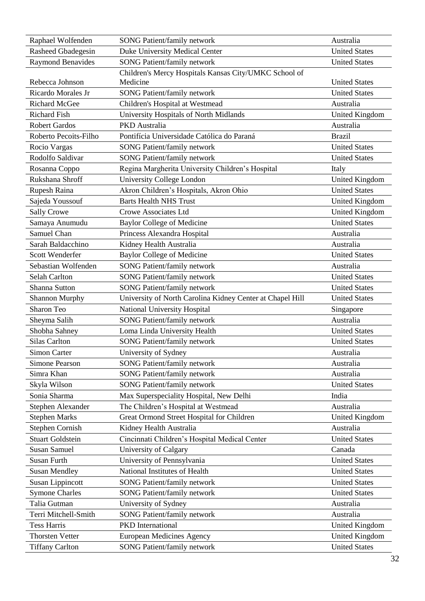| Raphael Wolfenden        | <b>SONG Patient/family network</b>                        | Australia             |
|--------------------------|-----------------------------------------------------------|-----------------------|
| Rasheed Gbadegesin       | <b>Duke University Medical Center</b>                     | <b>United States</b>  |
| <b>Raymond Benavides</b> | <b>SONG Patient/family network</b>                        | <b>United States</b>  |
|                          | Children's Mercy Hospitals Kansas City/UMKC School of     |                       |
| Rebecca Johnson          | Medicine                                                  | <b>United States</b>  |
| Ricardo Morales Jr       | <b>SONG Patient/family network</b>                        | <b>United States</b>  |
| <b>Richard McGee</b>     | Children's Hospital at Westmead                           | Australia             |
| <b>Richard Fish</b>      | University Hospitals of North Midlands                    | <b>United Kingdom</b> |
| <b>Robert Gardos</b>     | PKD Australia                                             | Australia             |
| Roberto Pecoits-Filho    | Pontifícia Universidade Católica do Paraná                | <b>Brazil</b>         |
| Rocio Vargas             | SONG Patient/family network                               | <b>United States</b>  |
| Rodolfo Saldivar         | <b>SONG Patient/family network</b>                        | <b>United States</b>  |
| Rosanna Coppo            | Regina Margherita University Children's Hospital          | Italy                 |
| Rukshana Shroff          | University College London                                 | <b>United Kingdom</b> |
| Rupesh Raina             | Akron Children's Hospitals, Akron Ohio                    | <b>United States</b>  |
| Sajeda Youssouf          | <b>Barts Health NHS Trust</b>                             | United Kingdom        |
| Sally Crowe              | <b>Crowe Associates Ltd</b>                               | <b>United Kingdom</b> |
| Samaya Anumudu           | <b>Baylor College of Medicine</b>                         | <b>United States</b>  |
| Samuel Chan              | Princess Alexandra Hospital                               | Australia             |
| Sarah Baldacchino        | Kidney Health Australia                                   | Australia             |
| Scott Wenderfer          | <b>Baylor College of Medicine</b>                         | <b>United States</b>  |
| Sebastian Wolfenden      | <b>SONG Patient/family network</b>                        | Australia             |
| <b>Selah Carlton</b>     | <b>SONG Patient/family network</b>                        | <b>United States</b>  |
| Shanna Sutton            | <b>SONG Patient/family network</b>                        | <b>United States</b>  |
| <b>Shannon Murphy</b>    | University of North Carolina Kidney Center at Chapel Hill | <b>United States</b>  |
| Sharon Teo               | National University Hospital                              | Singapore             |
| Sheyma Salih             | <b>SONG Patient/family network</b>                        | Australia             |
| Shobha Sahney            | Loma Linda University Health                              | <b>United States</b>  |
| <b>Silas Carlton</b>     | <b>SONG Patient/family network</b>                        | <b>United States</b>  |
| Simon Carter             | University of Sydney                                      | Australia             |
| Simone Pearson           | <b>SONG Patient/family network</b>                        | Australia             |
| Simra Khan               | <b>SONG Patient/family network</b>                        | Australia             |
| Skyla Wilson             | <b>SONG Patient/family network</b>                        | <b>United States</b>  |
| Sonia Sharma             | Max Superspeciality Hospital, New Delhi                   | India                 |
| Stephen Alexander        | The Children's Hospital at Westmead                       | Australia             |
| <b>Stephen Marks</b>     | Great Ormond Street Hospital for Children                 | <b>United Kingdom</b> |
| <b>Stephen Cornish</b>   | Kidney Health Australia                                   | Australia             |
| <b>Stuart Goldstein</b>  | Cincinnati Children's Hospital Medical Center             | <b>United States</b>  |
| <b>Susan Samuel</b>      | University of Calgary                                     | Canada                |
| <b>Susan Furth</b>       | University of Pennsylvania                                | <b>United States</b>  |
| <b>Susan Mendley</b>     | National Institutes of Health                             | <b>United States</b>  |
| <b>Susan Lippincott</b>  | <b>SONG Patient/family network</b>                        | <b>United States</b>  |
| <b>Symone Charles</b>    | <b>SONG Patient/family network</b>                        | <b>United States</b>  |
| Talia Gutman             | University of Sydney                                      | Australia             |
| Terri Mitchell-Smith     | <b>SONG Patient/family network</b>                        | Australia             |
| <b>Tess Harris</b>       | <b>PKD</b> International                                  | <b>United Kingdom</b> |
| <b>Thorsten Vetter</b>   | <b>European Medicines Agency</b>                          | United Kingdom        |
| <b>Tiffany Carlton</b>   | <b>SONG Patient/family network</b>                        | <b>United States</b>  |
|                          |                                                           |                       |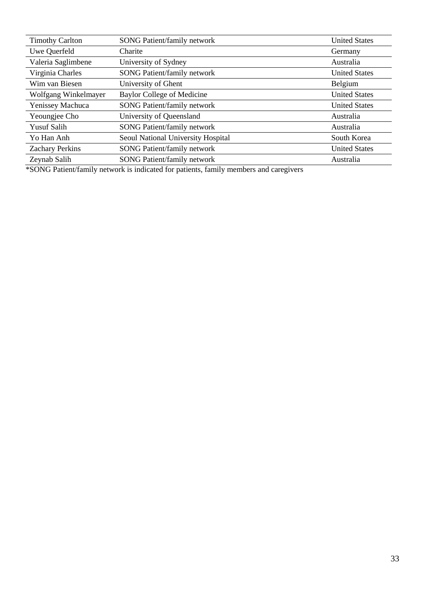| <b>Timothy Carlton</b> | SONG Patient/family network        | <b>United States</b> |
|------------------------|------------------------------------|----------------------|
| Uwe Querfeld           | Charite                            | Germany              |
| Valeria Saglimbene     | University of Sydney               | Australia            |
| Virginia Charles       | <b>SONG Patient/family network</b> | <b>United States</b> |
| Wim van Biesen         | University of Ghent                | Belgium              |
| Wolfgang Winkelmayer   | Baylor College of Medicine         | <b>United States</b> |
| Yenissey Machuca       | <b>SONG Patient/family network</b> | <b>United States</b> |
| Yeoungjee Cho          | University of Queensland           | Australia            |
| <b>Yusuf Salih</b>     | <b>SONG Patient/family network</b> | Australia            |
| Yo Han Anh             | Seoul National University Hospital | South Korea          |
| <b>Zachary Perkins</b> | <b>SONG Patient/family network</b> | <b>United States</b> |
| Zeynab Salih           | <b>SONG Patient/family network</b> | Australia            |

\*SONG Patient/family network is indicated for patients, family members and caregivers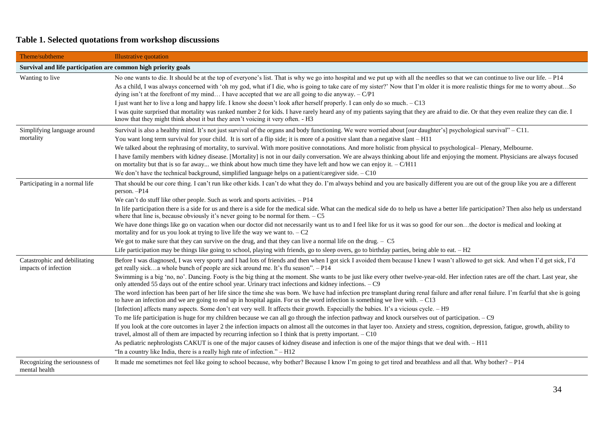# **Table 1. Selected quotations from workshop discussions**

| Theme/subtheme                                                 | <b>Illustrative quotation</b>                                                                                                                                                                                                                                                                                                 |
|----------------------------------------------------------------|-------------------------------------------------------------------------------------------------------------------------------------------------------------------------------------------------------------------------------------------------------------------------------------------------------------------------------|
| Survival and life participation are common high priority goals |                                                                                                                                                                                                                                                                                                                               |
| Wanting to live                                                | No one wants to die. It should be at the top of everyone's list. That is why we go into hospital and we put up with all the needles so that we can continue to live our life. - P14                                                                                                                                           |
|                                                                | As a child, I was always concerned with 'oh my god, what if I die, who is going to take care of my sister?' Now that I'm older it is more realistic things for me to worry aboutSo<br>dying isn't at the forefront of my mind I have accepted that we are all going to die anyway. $-C/P1$                                    |
|                                                                | I just want her to live a long and happy life. I know she doesn't look after herself properly. I can only do so much. - C13                                                                                                                                                                                                   |
|                                                                | I was quite surprised that mortality was ranked number 2 for kids. I have rarely heard any of my patients saying that they are afraid to die. Or that they even realize they can die. I<br>know that they might think about it but they aren't voicing it very often. - H3                                                    |
| Simplifying language around                                    | Survival is also a healthy mind. It's not just survival of the organs and body functioning. We were worried about [our daughter's] psychological survival" - C11.                                                                                                                                                             |
| mortality                                                      | You want long term survival for your child. It is sort of a flip side; it is more of a positive slant than a negative slant - H11                                                                                                                                                                                             |
|                                                                | We talked about the rephrasing of mortality, to survival. With more positive connotations. And more holistic from physical to psychological– Plenary, Melbourne.                                                                                                                                                              |
|                                                                | I have family members with kidney disease. [Mortality] is not in our daily conversation. We are always thinking about life and enjoying the moment. Physicians are always focused<br>on mortality but that is so far away we think about how much time they have left and how we can enjoy it. $-C/H11$                       |
|                                                                | We don't have the technical background, simplified language helps on a patient/caregiver side. - C10                                                                                                                                                                                                                          |
| Participating in a normal life                                 | That should be our core thing. I can't run like other kids. I can't do what they do. I'm always behind and you are basically different you are out of the group like you are a different<br>person. - P14                                                                                                                     |
|                                                                | We can't do stuff like other people. Such as work and sports activities. $-P14$                                                                                                                                                                                                                                               |
|                                                                | In life participation there is a side for us and there is a side for the medical side. What can the medical side do to help us have a better life participation? Then also help us understand<br>where that line is, because obviously it's never going to be normal for them. $-C5$                                          |
|                                                                | We have done things like go on vacation when our doctor did not necessarily want us to and I feel like for us it was so good for our sonthe doctor is medical and looking at<br>mortality and for us you look at trying to live life the way we want to. $-C2$                                                                |
|                                                                | We got to make sure that they can survive on the drug, and that they can live a normal life on the drug. $- C$ 5                                                                                                                                                                                                              |
|                                                                | Life participation may be things like going to school, playing with friends, go to sleep overs, go to birthday parties, being able to eat. $- H2$                                                                                                                                                                             |
| Catastrophic and debilitating<br>impacts of infection          | Before I was diagnosed, I was very sporty and I had lots of friends and then when I got sick I avoided them because I knew I wasn't allowed to get sick. And when I'd get sick, I'd<br>get really sicka whole bunch of people are sick around me. It's flu season". - P14                                                     |
|                                                                | Swimming is a big 'no, no'. Dancing. Footy is the big thing at the moment. She wants to be just like every other twelve-year-old. Her infection rates are off the chart. Last year, she<br>only attended 55 days out of the entire school year. Urinary tract infections and kidney infections. - C9                          |
|                                                                | The word infection has been part of her life since the time she was born. We have had infection pre transplant during renal failure and after renal failure. I'm fearful that she is going<br>to have an infection and we are going to end up in hospital again. For us the word infection is something we live with. $- C13$ |
|                                                                | [Infection] affects many aspects. Some don't eat very well. It affects their growth. Especially the babies. It's a vicious cycle. - H9                                                                                                                                                                                        |
|                                                                | To me life participation is huge for my children because we can all go through the infection pathway and knock ourselves out of participation. - C9                                                                                                                                                                           |
|                                                                | If you look at the core outcomes in layer 2 the infection impacts on almost all the outcomes in that layer too. Anxiety and stress, cognition, depression, fatigue, growth, ability to<br>travel, almost all of them are impacted by recurring infection so I think that is pretty important. - C10                           |
|                                                                | As pediatric nephrologists CAKUT is one of the major causes of kidney disease and infection is one of the major things that we deal with. - H11                                                                                                                                                                               |
|                                                                | "In a country like India, there is a really high rate of infection." $- H12$                                                                                                                                                                                                                                                  |
| Recognizing the seriousness of<br>mental health                | It made me sometimes not feel like going to school because, why bother? Because I know I'm going to get tired and breathless and all that. Why bother? - P14                                                                                                                                                                  |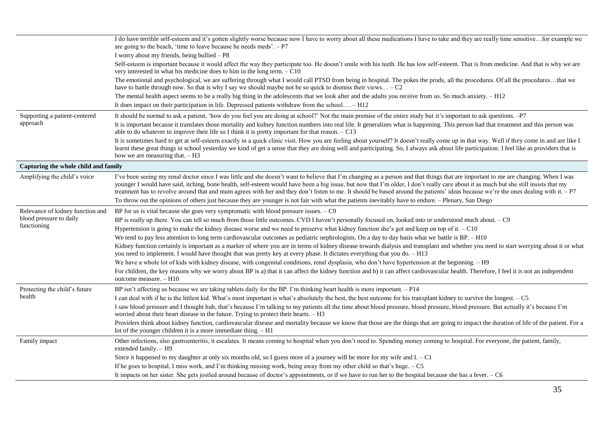|                                      | I do have terrible self-esteem and it's gotten slightly worse because now I have to worry about all these medications I have to take and they are really time sensitive for example we<br>are going to the beach, 'time to leave because he needs meds'. $- P7$                                                                                                                                                                                                                                                                                                     |
|--------------------------------------|---------------------------------------------------------------------------------------------------------------------------------------------------------------------------------------------------------------------------------------------------------------------------------------------------------------------------------------------------------------------------------------------------------------------------------------------------------------------------------------------------------------------------------------------------------------------|
|                                      | I worry about my friends, being bullied – P8                                                                                                                                                                                                                                                                                                                                                                                                                                                                                                                        |
|                                      | Self-esteem is important because it would affect the way they participate too. He doesn't smile with his teeth. He has low self-esteem. That is from medicine. And that is why we are<br>very interested in what his medicine does to him in the long term. - C10                                                                                                                                                                                                                                                                                                   |
|                                      | The emotional and psychological, we are suffering through what I would call PTSD from being in hospital. The pokes the prods, all the procedures. Of all the proceduresthat we<br>have to battle through now. So that is why I say we should maybe not be so quick to dismiss their views $-C2$                                                                                                                                                                                                                                                                     |
|                                      | The mental health aspect seems to be a really big thing in the adolescents that we look after and the adults you receive from us. So much anxiety. - H12                                                                                                                                                                                                                                                                                                                                                                                                            |
|                                      | It does impact on their participation in life. Depressed patients withdraw from the school $- H12$                                                                                                                                                                                                                                                                                                                                                                                                                                                                  |
| Supporting a patient-centered        | It should be normal to ask a patient, 'how do you feel you are doing at school?' Not the main premise of the entire study but it's important to ask questions. -P7                                                                                                                                                                                                                                                                                                                                                                                                  |
| approach                             | It is important because it translates those mortality and kidney function numbers into real life. It generalizes what is happening. This person had that treatment and this person was<br>able to do whatever to improve their life so I think it is pretty important for that reason. $- C13$                                                                                                                                                                                                                                                                      |
|                                      | It is sometimes hard to get at self-esteem exactly in a quick clinic visit. How you are feeling about yourself? It doesn't really come up in that way. Well if they come in and are like I<br>learnt these great things in school yesterday we kind of get a sense that they are doing well and participating. So, I always ask about life participation. I feel like as providers that is<br>how we are measuring that. $- H3$                                                                                                                                     |
| Capturing the whole child and family |                                                                                                                                                                                                                                                                                                                                                                                                                                                                                                                                                                     |
| Amplifying the child's voice         | I've been seeing my renal doctor since I was little and she doesn't want to believe that I'm changing as a person and that things that are important to me are changing. When I was<br>younger I would have said, itching, bone health, self-esteem would have been a big issue, but now that I'm older, I don't really care about it as much but she still insists that my<br>treatment has to revolve around that and mum agrees with her and they don't listen to me. It should be based around the patients' ideas because we're the ones dealing with it. - P7 |
|                                      | To throw out the opinions of others just because they are younger is not fair with what the patients inevitably have to endure. - Plenary, San Diego                                                                                                                                                                                                                                                                                                                                                                                                                |
| Relevance of kidney function and     | BP for us is vital because she goes very symptomatic with blood pressure issues. $-$ C9                                                                                                                                                                                                                                                                                                                                                                                                                                                                             |
| blood pressure to daily              | BP is really up there. You can tell so much from those little outcomes. CVD I haven't personally focused on, looked into or understood much about. - C9                                                                                                                                                                                                                                                                                                                                                                                                             |
| functioning                          | Hypertension is going to make the kidney disease worse and we need to preserve what kidney function she's got and keep on top of it. - C10                                                                                                                                                                                                                                                                                                                                                                                                                          |
|                                      | We tend to pay less attention to long term cardiovascular outcomes as pediatric nephrologists. On a day to day basis what we battle is BP. - H10                                                                                                                                                                                                                                                                                                                                                                                                                    |
|                                      | Kidney function certainly is important as a marker of where you are in terms of kidney disease towards dialysis and transplant and whether you need to start worrying about it or what<br>you need to implement. I would have thought that was pretty key at every phase. It dictates everything that you do. - H13                                                                                                                                                                                                                                                 |
|                                      | We have a whole lot of kids with kidney disease, with congenital conditions, renal dysplasia, who don't have hypertension at the beginning. - H9                                                                                                                                                                                                                                                                                                                                                                                                                    |
|                                      | For children, the key reasons why we worry about BP is a) that it can affect the kidney function and b) it can affect cardiovascular health. Therefore, I feel it is not an independent<br>outcome measure. - H10                                                                                                                                                                                                                                                                                                                                                   |
| Protecting the child's future        | BP isn't affecting us because we are taking tablets daily for the BP. I'm thinking heart health is more important. $-P14$                                                                                                                                                                                                                                                                                                                                                                                                                                           |
| health                               | I can deal with if he is the littlest kid. What's most important is what's absolutely the best, the best outcome for his transplant kidney to survive the longest. - C5                                                                                                                                                                                                                                                                                                                                                                                             |
|                                      | I saw blood pressure and I thought huh, that's because I'm talking to my patients all the time about blood pressure, blood pressure, blood pressure. But actually it's because I'm<br>worried about their heart disease in the future. Trying to protect their hearts. - H3                                                                                                                                                                                                                                                                                         |
|                                      | Providers think about kidney function, cardiovascular disease and mortality because we know that those are the things that are going to impact the duration of life of the patient. For a<br>lot of the younger children it is a more immediate thing. - H1                                                                                                                                                                                                                                                                                                         |
| Family impact                        | Other infections, also gastroenteritis, it escalates. It means coming to hospital when you don't need to. Spending money coming to hospital. For everyone, the patient, family,<br>extended family. - H9                                                                                                                                                                                                                                                                                                                                                            |
|                                      | Since it happened to my daughter at only six months old, so I guess more of a journey will be more for my wife and $I. -C1$                                                                                                                                                                                                                                                                                                                                                                                                                                         |
|                                      | If he goes to hospital, I miss work, and I'm thinking missing work, being away from my other child so that's huge. - C5                                                                                                                                                                                                                                                                                                                                                                                                                                             |
|                                      | It impacts on her sister. She gets jostled around because of doctor's appointments, or if we have to run her to the hospital because she has a fever. - C6                                                                                                                                                                                                                                                                                                                                                                                                          |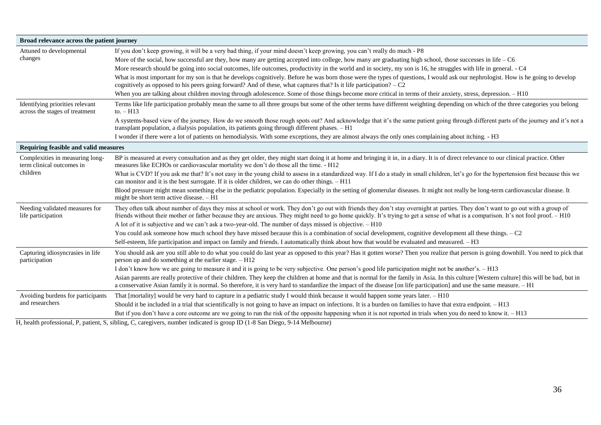| Broad relevance across the patient journey                               |                                                                                                                                                                                                                                                                                                                                                                         |  |
|--------------------------------------------------------------------------|-------------------------------------------------------------------------------------------------------------------------------------------------------------------------------------------------------------------------------------------------------------------------------------------------------------------------------------------------------------------------|--|
| Attuned to developmental                                                 | If you don't keep growing, it will be a very bad thing, if your mind doesn't keep growing, you can't really do much - P8                                                                                                                                                                                                                                                |  |
| changes                                                                  | More of the social, how successful are they, how many are getting accepted into college, how many are graduating high school, those successes in life – C6                                                                                                                                                                                                              |  |
|                                                                          | More research should be going into social outcomes, life outcomes, productivity in the world and in society, my son is 16, he struggles with life in general. - C4                                                                                                                                                                                                      |  |
|                                                                          | What is most important for my son is that he develops cognitively. Before he was born those were the types of questions, I would ask our nephrologist. How is he going to develop<br>cognitively as opposed to his peers going forward? And of these, what captures that? Is it life participation? $-C2$                                                               |  |
|                                                                          | When you are talking about children moving through adolescence. Some of those things become more critical in terms of their anxiety, stress, depression. - H10                                                                                                                                                                                                          |  |
| Identifying priorities relevant<br>across the stages of treatment        | Terms like life participation probably mean the same to all three groups but some of the other terms have different weighting depending on which of the three categories you belong<br>to. $-H13$                                                                                                                                                                       |  |
|                                                                          | A systems-based view of the journey. How do we smooth those rough spots out? And acknowledge that it's the same patient going through different parts of the journey and it's not a<br>transplant population, a dialysis population, its patients going through different phases. - H1                                                                                  |  |
|                                                                          | I wonder if there were a lot of patients on hemodialysis. With some exceptions, they are almost always the only ones complaining about itching. - H3                                                                                                                                                                                                                    |  |
| Requiring feasible and valid measures                                    |                                                                                                                                                                                                                                                                                                                                                                         |  |
| Complexities in measuring long-<br>term clinical outcomes in<br>children | BP is measured at every consultation and as they get older, they might start doing it at home and bringing it in, in a diary. It is of direct relevance to our clinical practice. Other<br>measures like ECHOs or cardiovascular mortality we don't do those all the time. - H12                                                                                        |  |
|                                                                          | What is CVD? If you ask me that? It's not easy in the young child to assess in a standardized way. If I do a study in small children, let's go for the hypertension first because this we<br>can monitor and it is the best surrogate. If it is older children, we can do other things. - H11                                                                           |  |
|                                                                          | Blood pressure might mean something else in the pediatric population. Especially in the setting of glomerular diseases. It might not really be long-term cardiovascular disease. It<br>might be short term active disease. - H1                                                                                                                                         |  |
| Needing validated measures for<br>life participation                     | They often talk about number of days they miss at school or work. They don't go out with friends they don't stay overnight at parties. They don't want to go out with a group of<br>friends without their mother or father because they are anxious. They might need to go home quickly. It's trying to get a sense of what is a comparison. It's not fool proof. - H10 |  |
|                                                                          | A lot of it is subjective and we can't ask a two-year-old. The number of days missed is objective. - H10                                                                                                                                                                                                                                                                |  |
|                                                                          | You could ask someone how much school they have missed because this is a combination of social development, cognitive development all these things. $-C2$                                                                                                                                                                                                               |  |
|                                                                          | Self-esteem, life participation and impact on family and friends. I automatically think about how that would be evaluated and measured. - H3                                                                                                                                                                                                                            |  |
| Capturing idiosyncrasies in life<br>participation                        | You should ask are you still able to do what you could do last year as opposed to this year? Has it gotten worse? Then you realize that person is going downhill. You need to pick that<br>person up and do something at the earlier stage. $- H12$                                                                                                                     |  |
|                                                                          | I don't know how we are going to measure it and it is going to be very subjective. One person's good life participation might not be another's. - H13                                                                                                                                                                                                                   |  |
|                                                                          | Asian parents are really protective of their children. They keep the children at home and that is normal for the family in Asia. In this culture [Western culture] this will be bad, but in<br>a conservative Asian family it is normal. So therefore, it is very hard to standardize the impact of the disease [on life participation] and use the same measure. - H1  |  |
| Avoiding burdens for participants                                        | That [mortality] would be very hard to capture in a pediatric study I would think because it would happen some years later. - H10                                                                                                                                                                                                                                       |  |
| and researchers                                                          | Should it be included in a trial that scientifically is not going to have an impact on infections. It is a burden on families to have that extra endpoint. - H13                                                                                                                                                                                                        |  |
|                                                                          | But if you don't have a core outcome are we going to run the risk of the opposite happening when it is not reported in trials when you do need to know it. - H13                                                                                                                                                                                                        |  |

H, health professional, P, patient, S, sibling, C, caregivers, number indicated is group ID (1-8 San Diego, 9-14 Melbourne)